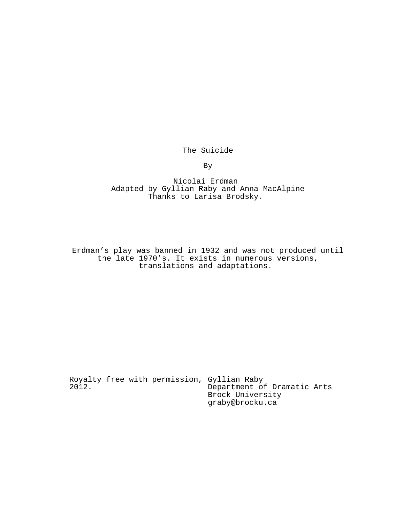The Suicide

By

Nicolai Erdman Adapted by Gyllian Raby and Anna MacAlpine Thanks to Larisa Brodsky.

Erdman's play was banned in 1932 and was not produced until the late 1970's. It exists in numerous versions, translations and adaptations.

Royalty free with permission, Gyllian Raby 2012. Department of Dramatic Arts Brock University graby@brocku.ca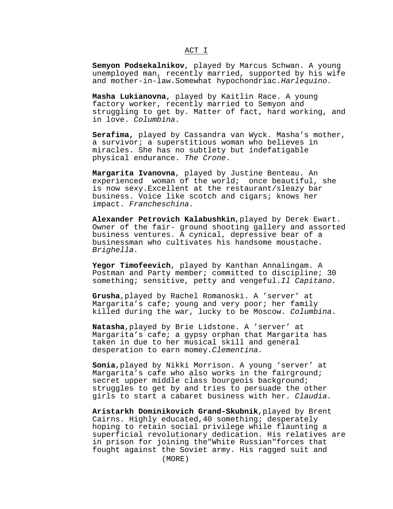# ACT I

**Semyon Podsekalnikov**, played by Marcus Schwan. A young unemployed man, recently married, supported by his wife and mother-in-law. Somewhat hypochondriac. Harlequino.

**Masha Lukianovna**, played by Kaitlin Race. A young factory worker, recently married to Semyon and struggling to get by. Matter of fact, hard working, and in love. Columbina.

**Serafima,** played by Cassandra van Wyck. Masha's mother, a survivor; a superstitious woman who believes in miracles. She has no subtlety but indefatigable physical endurance. The Crone.

**Margarita Ivanovna**, played by Justine Benteau. An experienced woman of the world; once beautiful, she is now sexy.Excellent at the restaurant/sleazy bar business. Voice like scotch and cigars; knows her impact. Francheschina.

**Alexander Petrovich Kalabushkin**,played by Derek Ewart. Owner of the fair- ground shooting gallery and assorted business ventures. A cynical, depressive bear of a businessman who cultivates his handsome moustache. Brighella.

**Yegor Timofeevich**, played by Kanthan Annalingam. A Postman and Party member; committed to discipline; 30 something; sensitive, petty and vengeful.Il Capitano.

**Grusha**,played by Rachel Romanoski. A 'server' at Margarita's cafe; young and very poor; her family killed during the war, lucky to be Moscow. Columbina.

**Natasha**,played by Brie Lidstone. A 'server' at Margarita's cafe; a gypsy orphan that Margarita has taken in due to her musical skill and general desperation to earn momey.Clementina.

**Sonia**,played by Nikki Morrison. A young 'server' at Margarita's cafe who also works in the fairground; secret upper middle class bourgeois background; struggles to get by and tries to persuade the other girls to start a cabaret business with her. Claudia.

**Aristarkh Dominikovich Grand-Skubnik**,played by Brent Cairns. Highly educated,40 something; desperately hoping to retain social privilege while flaunting a superficial revolutionary dedication. His relatives are in prison for joining the"White Russian"forces that fought against the Soviet army. His ragged suit and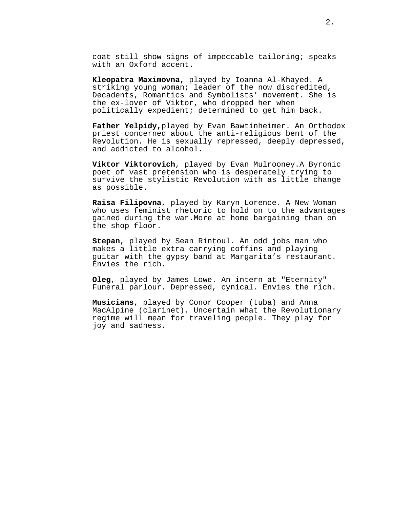coat still show signs of impeccable tailoring; speaks with an Oxford accent.

**Kleopatra Maximovna,** played by Ioanna Al-Khayed. A striking young woman; leader of the now discredited, Decadents, Romantics and Symbolists' movement. She is the ex-lover of Viktor, who dropped her when politically expedient; determined to get him back.

**Father Yelpidy,**played by Evan Bawtinheimer. An Orthodox priest concerned about the anti-religious bent of the Revolution. He is sexually repressed, deeply depressed, and addicted to alcohol.

**Viktor Viktorovich**, played by Evan Mulrooney.A Byronic poet of vast pretension who is desperately trying to survive the stylistic Revolution with as little change as possible.

**Raisa Filipovna**, played by Karyn Lorence. A New Woman who uses feminist rhetoric to hold on to the advantages gained during the war.More at home bargaining than on the shop floor.

**Stepan**, played by Sean Rintoul. An odd jobs man who makes a little extra carrying coffins and playing guitar with the gypsy band at Margarita's restaurant. Envies the rich.

**Oleg**, played by James Lowe. An intern at "Eternity" Funeral parlour. Depressed, cynical. Envies the rich.

**Musicians**, played by Conor Cooper (tuba) and Anna MacAlpine (clarinet). Uncertain what the Revolutionary regime will mean for traveling people. They play for joy and sadness.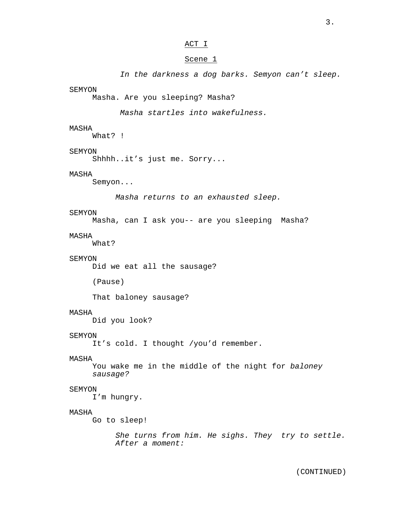## ACT I

## Scene 1

In the darkness a dog barks. Semyon can't sleep.

SEMYON

Masha. Are you sleeping? Masha?

Masha startles into wakefulness.

## MASHA

What? !

## SEMYON

Shhhh..it's just me. Sorry...

### MASHA

Semyon...

Masha returns to an exhausted sleep.

#### SEMYON

Masha, can I ask you-- are you sleeping Masha?

### MASHA

What?

### SEMYON

Did we eat all the sausage?

(Pause)

That baloney sausage?

## MASHA

Did you look?

## SEMYON

It's cold. I thought /you'd remember.

### MASHA

You wake me in the middle of the night for baloney sausage?

### SEMYON

I'm hungry.

### MASHA

Go to sleep!

She turns from him. He sighs. They try to settle. After a moment: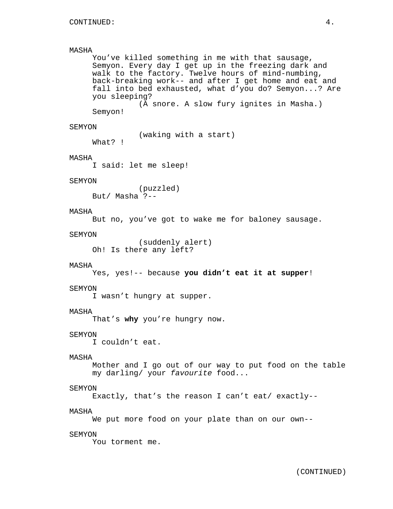```
MASHA
     You've killed something in me with that sausage,
     Semyon. Every day I get up in the freezing dark and
     walk to the factory. Twelve hours of mind-numbing,
     back-breaking work-- and after I get home and eat and
     fall into bed exhausted, what d'you do? Semyon...? Are
     you sleeping?
               (A snore. A slow fury ignites in Masha.)
     Semyon!
SEMYON
               (waking with a start)
     What? !
MASHA
     I said: let me sleep!
SEMYON
               (puzzled)
     But/ Masha ?--
MASHA
     But no, you've got to wake me for baloney sausage.
SEMYON
               (suddenly alert)
     Oh! Is there any left?
MASHA
     Yes, yes!-- because you didn't eat it at supper!
SEMYON
     I wasn't hungry at supper.
MASHA
     That's why you're hungry now.
SEMYON
     I couldn't eat.
MASHA
     Mother and I go out of our way to put food on the table
     my darling/ your favourite food...
SEMYON
     Exactly, that's the reason I can't eat/ exactly--
MASHA
     We put more food on your plate than on our own--
SEMYON
     You torment me.
```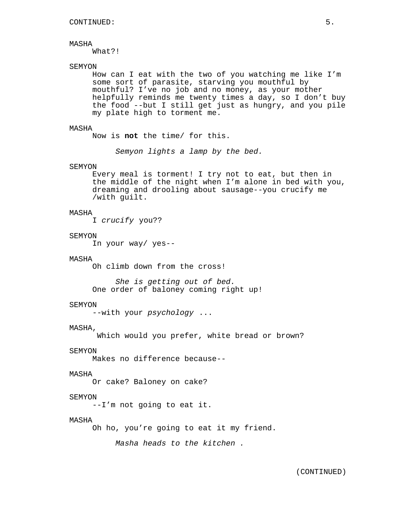What?!

## SEMYON

How can I eat with the two of you watching me like I'm some sort of parasite, starving you mouthful by mouthful? I've no job and no money, as your mother helpfully reminds me twenty times a day, so I don't buy the food --but I still get just as hungry, and you pile my plate high to torment me.

### MASHA

Now is **not** the time/ for this.

Semyon lights a lamp by the bed.

#### SEMYON

Every meal is torment! I try not to eat, but then in the middle of the night when I'm alone in bed with you, dreaming and drooling about sausage--you crucify me /with guilt.

### MASHA

I crucify you??

#### SEMYON

In your way/ yes--

#### MASHA

Oh climb down from the cross!

She is getting out of bed. One order of baloney coming right up!

### SEMYON

--with your psychology ...

## MASHA,

Which would you prefer, white bread or brown?

### SEMYON

Makes no difference because--

### MASHA

Or cake? Baloney on cake?

### **SEMYON**

--I'm not going to eat it.

## MASHA

Oh ho, you're going to eat it my friend.

Masha heads to the kitchen .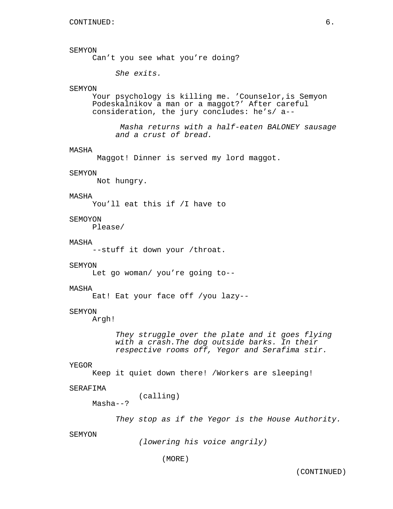### SEMYON

Can't you see what you're doing?

She exits.

### SEMYON

Your psychology is killing me. 'Counselor,is Semyon Podeskalnikov a man or a maggot?' After careful consideration, the jury concludes: he's/ a--

Masha returns with a half-eaten BALONEY sausage and a crust of bread.

#### MASHA

Maggot! Dinner is served my lord maggot.

### SEMYON

Not hungry.

## MASHA

You'll eat this if /I have to

## SEMOYON

Please/

#### MASHA

--stuff it down your /throat.

#### SEMYON

Let go woman/ you're going to--

#### MASHA

Eat! Eat your face off /you lazy--

## SEMYON

Argh!

They struggle over the plate and it goes flying with a crash.The dog outside barks. In their respective rooms off, Yegor and Serafima stir.

### YEGOR

Keep it quiet down there! /Workers are sleeping!

### SERAFIMA

(calling)

Masha--?

They stop as if the Yegor is the House Authority.

### SEMYON

(lowering his voice angrily)

(MORE)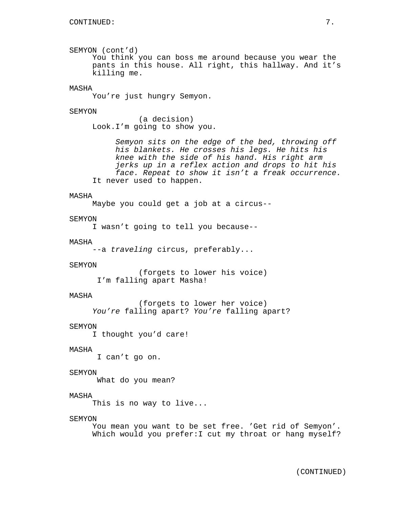SEMYON (cont'd) You think you can boss me around because you wear the pants in this house. All right, this hallway. And it's killing me.

## MASHA

You're just hungry Semyon.

#### SEMYON

(a decision) Look.I'm going to show you.

Semyon sits on the edge of the bed, throwing off his blankets. He crosses his legs. He hits his knee with the side of his hand. His right arm jerks up in a reflex action and drops to hit his face. Repeat to show it isn't a freak occurrence. It never used to happen.

## MASHA

Maybe you could get a job at a circus--

### SEMYON

I wasn't going to tell you because--

#### MASHA

--a traveling circus, preferably...

#### SEMYON

(forgets to lower his voice) I'm falling apart Masha!

#### MASHA

(forgets to lower her voice) You're falling apart? You're falling apart?

### SEMYON

I thought you'd care!

### MASHA

I can't go on.

#### SEMYON

What do you mean?

## MASHA

This is no way to live...

#### SEMYON

You mean you want to be set free. 'Get rid of Semyon'. Which would you prefer:I cut my throat or hang myself?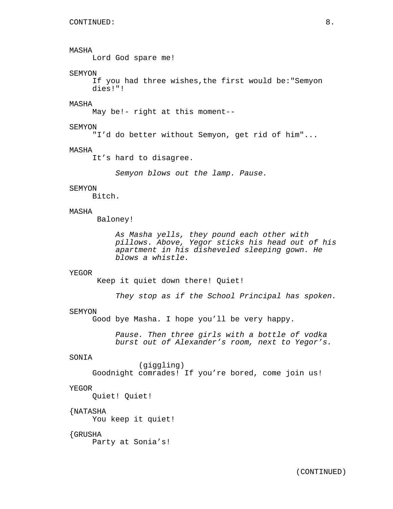Lord God spare me!

## SEMYON

If you had three wishes,the first would be:"Semyon dies!"!

## MASHA

May be!- right at this moment--

#### SEMYON

"I'd do better without Semyon, get rid of him"...

#### MASHA

It's hard to disagree.

Semyon blows out the lamp. Pause.

### SEMYON

Bitch.

## MASHA

Baloney!

As Masha yells, they pound each other with pillows. Above, Yegor sticks his head out of his apartment in his disheveled sleeping gown. He blows a whistle.

### YEGOR

Keep it quiet down there! Quiet!

They stop as if the School Principal has spoken.

#### SEMYON

Good bye Masha. I hope you'll be very happy.

Pause. Then three girls with a bottle of vodka burst out of Alexander's room, next to Yegor's.

### SONIA

(giggling) Goodnight comrades! If you're bored, come join us!

### YEGOR

Quiet! Quiet!

## {NATASHA

You keep it quiet!

## {GRUSHA

Party at Sonia's!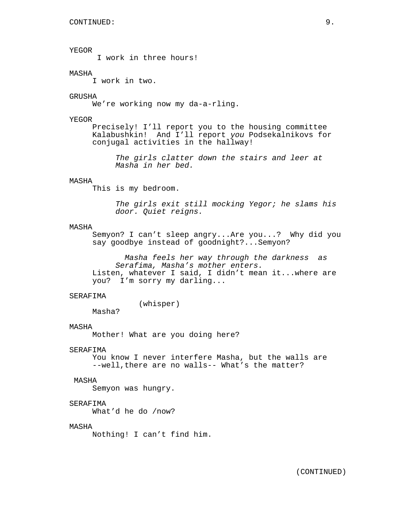YEGOR I work in three hours! MASHA I work in two. GRUSHA We're working now my da-a-rling. YEGOR Precisely! I'll report you to the housing committee Kalabushkin! And I'll report you Podsekalnikovs for conjugal activities in the hallway! The girls clatter down the stairs and leer at Masha in her bed. MASHA This is my bedroom. The girls exit still mocking Yegor; he slams his door. Quiet reigns. MASHA Semyon? I can't sleep angry...Are you...? Why did you say goodbye instead of goodnight?...Semyon? Masha feels her way through the darkness as Serafima, Masha's mother enters. Listen, whatever I said, I didn't mean it...where are you? I'm sorry my darling... SERAFIMA (whisper) Masha? MASHA Mother! What are you doing here? SERAFIMA You know I never interfere Masha, but the walls are --well, there are no walls-- What's the matter? MASHA Semyon was hungry. SERAFIMA What'd he do /now? MASHA Nothing! I can't find him.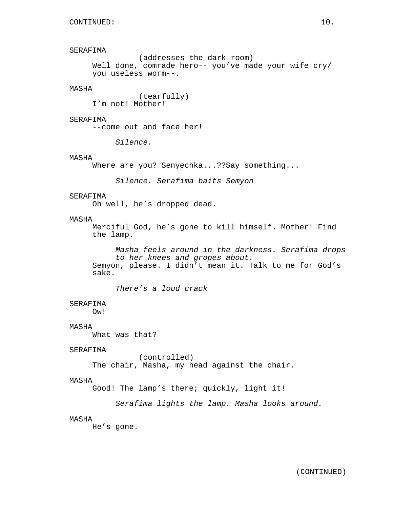```
SERAFIMA
               (addresses the dark room)
     Well done, comrade hero-- you've made your wife cry/
     you useless worm--.
MASHA
               (tearfully)
     I'm not! Mother!
SERAFIMA
     --come out and face her!
          Silence.
MASHA
     Where are you? Senyechka...??Say something...
          Silence. Serafima baits Semyon
SERAFIMA
     Oh well, he's dropped dead.
MASHA
     Merciful God, he's gone to kill himself. Mother! Find
     the lamp.
          Masha feels around in the darkness. Serafima drops
          to her knees and gropes about.
     Semyon, please. I didn't mean it. Talk to me for God's
     sake.
          There's a loud crack
SERAFIMA
     Ow!
MASHA
     What was that?
SERAFIMA
               (controlled)
     The chair, Masha, my head against the chair.
MASHA
     Good! The lamp's there; quickly, light it!
          Serafima lights the lamp. Masha looks around.
MASHA
     He's gone.
```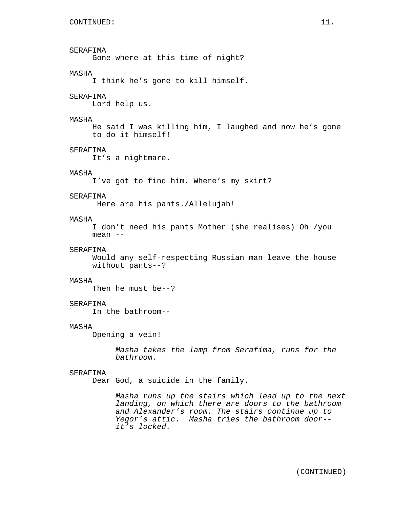SERAFIMA Gone where at this time of night? MASHA I think he's gone to kill himself. SERAFIMA Lord help us. MASHA He said I was killing him, I laughed and now he's gone to do it himself! SERAFIMA It's a nightmare. MASHA I've got to find him. Where's my skirt? SERAFIMA Here are his pants./Allelujah! MASHA I don't need his pants Mother (she realises) Oh /you mean -- SERAFIMA Would any self-respecting Russian man leave the house without pants--? MASHA Then he must be--? SERAFIMA In the bathroom--

### MASHA

Opening a vein!

Masha takes the lamp from Serafima, runs for the bathroom.

## SERAFIMA

Dear God, a suicide in the family.

Masha runs up the stairs which lead up to the next landing, on which there are doors to the bathroom and Alexander's room. The stairs continue up to Yegor's attic. Masha tries the bathroom door- it's locked.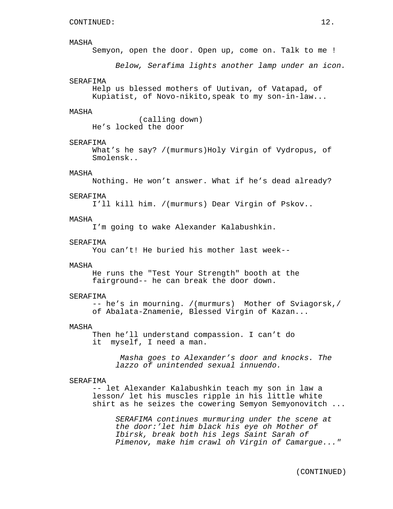Semyon, open the door. Open up, come on. Talk to me !

Below, Serafima lights another lamp under an icon.

#### SERAFIMA

Help us blessed mothers of Uutivan, of Vatapad, of Kupiatist, of Novo-nikito,speak to my son-in-law...

### MASHA

(calling down) He's locked the door

### SERAFIMA

What's he say? /(murmurs)Holy Virgin of Vydropus, of Smolensk..

### MASHA

Nothing. He won't answer. What if he's dead already?

#### SERAFIMA

I'll kill him. /(murmurs) Dear Virgin of Pskov..

### MASHA

I'm going to wake Alexander Kalabushkin.

#### SERAFIMA

You can't! He buried his mother last week--

### MASHA

He runs the "Test Your Strength" booth at the fairground-- he can break the door down.

#### SERAFIMA

-- he's in mourning. /(murmurs) Mother of Sviagorsk,/ of Abalata-Znamenie, Blessed Virgin of Kazan...

#### MASHA

Then he'll understand compassion. I can't do it myself, I need a man.

> Masha goes to Alexander's door and knocks. The lazzo of unintended sexual innuendo.

#### SERAFIMA

-- let Alexander Kalabushkin teach my son in law a lesson/ let his muscles ripple in his little white shirt as he seizes the cowering Semyon Semyonovitch ...

SERAFIMA continues murmuring under the scene at the door:'let him black his eye oh Mother of Ibirsk, break both his legs Saint Sarah of Pimenov, make him crawl oh Virgin of Camargue..."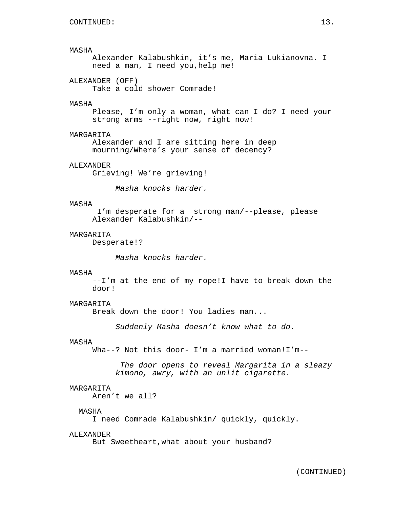Alexander Kalabushkin, it's me, Maria Lukianovna. I need a man, I need you,help me!

ALEXANDER (OFF)

Take a cold shower Comrade!

### MASHA

Please, I'm only a woman, what can I do? I need your strong arms --right now, right now!

### MARGARITA

Alexander and I are sitting here in deep mourning/Where's your sense of decency?

## ALEXANDER

Grieving! We're grieving!

Masha knocks harder.

### MASHA

I'm desperate for a strong man/--please, please Alexander Kalabushkin/--

### MARGARITA

Desperate!?

Masha knocks harder.

#### MASHA

--I'm at the end of my rope!I have to break down the door!

## MARGARITA

Break down the door! You ladies man...

Suddenly Masha doesn't know what to do.

### MASHA

Wha--? Not this door- I'm a married woman!I'm--

The door opens to reveal Margarita in a sleazy kimono, awry, with an unlit cigarette.

## MARGARITA

Aren't we all?

## MASHA

I need Comrade Kalabushkin/ quickly, quickly.

#### ALEXANDER

But Sweetheart,what about your husband?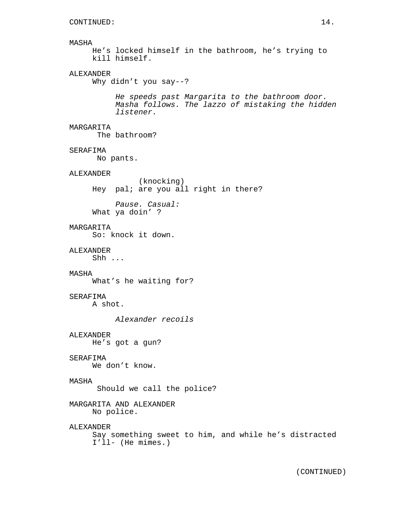```
He's locked himself in the bathroom, he's trying to
kill himself.
```
# ALEXANDER

Why didn't you say--?

He speeds past Margarita to the bathroom door. Masha follows. The lazzo of mistaking the hidden listener.

# MARGARITA

The bathroom?

## SERAFIMA

No pants.

## ALEXANDER

(knocking) Hey pal; are you all right in there?

Pause. Casual: What ya doin' ?

### **MARGARITA**

So: knock it down.

# ALEXANDER

Shh ...

### MASHA

What's he waiting for?

## SERAFIMA

A shot.

Alexander recoils

## ALEXANDER He's got a gun?

## SERAFIMA

We don't know.

### MASHA

Should we call the police?

MARGARITA AND ALEXANDER No police.

# ALEXANDER Say something sweet to him, and while he's distracted I'll- (He mimes.)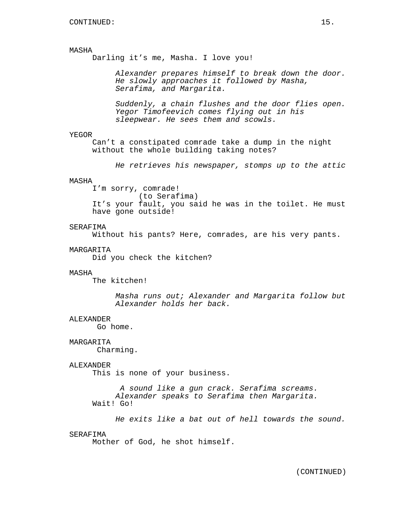Darling it's me, Masha. I love you!

Alexander prepares himself to break down the door. He slowly approaches it followed by Masha, Serafima, and Margarita.

Suddenly, a chain flushes and the door flies open. Yegor Timofeevich comes flying out in his sleepwear. He sees them and scowls.

#### YEGOR

Can't a constipated comrade take a dump in the night without the whole building taking notes?

He retrieves his newspaper, stomps up to the attic

# MASHA

I'm sorry, comrade! (to Serafima) It's your fault, you said he was in the toilet. He must have gone outside!

## SERAFIMA

Without his pants? Here, comrades, are his very pants.

#### MARGARITA

Did you check the kitchen?

### MASHA

The kitchen!

Masha runs out; Alexander and Margarita follow but Alexander holds her back.

#### ALEXANDER

Go home.

### MARGARITA

Charming.

#### ALEXANDER

This is none of your business.

A sound like a gun crack. Serafima screams. Alexander speaks to Serafima then Margarita. Wait! Go!

He exits like a bat out of hell towards the sound.

### SERAFIMA

Mother of God, he shot himself.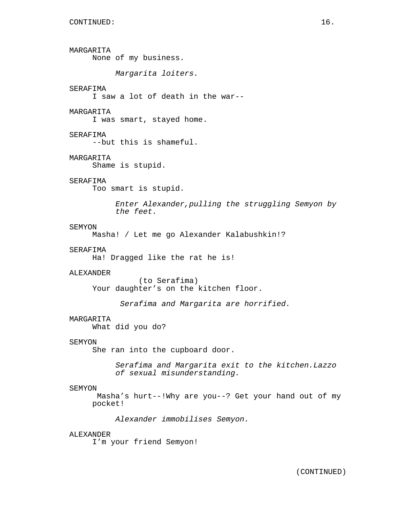MARGARITA None of my business. Margarita loiters. SERAFIMA I saw a lot of death in the war-- MARGARITA I was smart, stayed home. SERAFIMA --but this is shameful. MARGARITA Shame is stupid. SERAFIMA Too smart is stupid. Enter Alexander,pulling the struggling Semyon by the feet. SEMYON Masha! / Let me go Alexander Kalabushkin!? SERAFIMA Ha! Dragged like the rat he is! ALEXANDER (to Serafima) Your daughter's on the kitchen floor. Serafima and Margarita are horrified. MARGARITA What did you do? SEMYON She ran into the cupboard door. Serafima and Margarita exit to the kitchen.Lazzo of sexual misunderstanding. SEMYON Masha's hurt--!Why are you--? Get your hand out of my pocket! Alexander immobilises Semyon. ALEXANDER I'm your friend Semyon!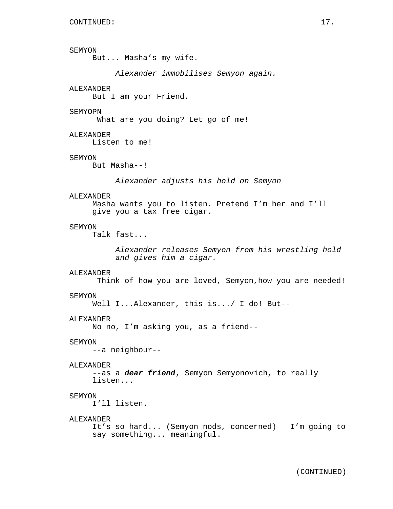## SEMYON

But... Masha's my wife.

Alexander immobilises Semyon again.

## ALEXANDER

But I am your Friend.

#### SEMYOPN

What are you doing? Let go of me!

## ALEXANDER

Listen to me!

### SEMYON

But Masha--!

Alexander adjusts his hold on Semyon

### ALEXANDER

Masha wants you to listen. Pretend I'm her and I'll give you a tax free cigar.

### SEMYON

Talk fast...

Alexander releases Semyon from his wrestling hold and gives him a cigar.

### ALEXANDER

Think of how you are loved, Semyon,how you are needed!

#### SEMYON

Well I...Alexander, this is.../ I do! But--

#### ALEXANDER

No no, I'm asking you, as a friend--

#### SEMYON

--a neighbour--

#### ALEXANDER

--as a **dear friend**, Semyon Semyonovich, to really listen...

## SEMYON

I'll listen.

### ALEXANDER

```
It's so hard... (Semyon nods, concerned) I'm going to
say something... meaningful.
```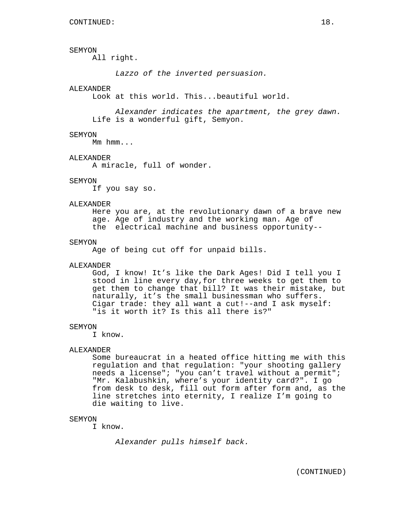### SEMYON

All right.

Lazzo of the inverted persuasion.

### ALEXANDER

Look at this world. This...beautiful world.

Alexander indicates the apartment, the grey dawn. Life is a wonderful gift, Semyon.

#### SEMYON

Mm hmm...

#### ALEXANDER

A miracle, full of wonder.

### SEMYON

If you say so.

#### ALEXANDER

Here you are, at the revolutionary dawn of a brave new age. Age of industry and the working man. Age of the electrical machine and business opportunity--

#### SEMYON

Age of being cut off for unpaid bills.

#### ALEXANDER

God, I know! It's like the Dark Ages! Did I tell you I stood in line every day,for three weeks to get them to get them to change that bill? It was their mistake, but naturally, it's the small businessman who suffers. Cigar trade: they all want a cut!--and I ask myself: "is it worth it? Is this all there is?"

#### SEMYON

I know.

## ALEXANDER

Some bureaucrat in a heated office hitting me with this regulation and that regulation: "your shooting gallery needs a license"; "you can't travel without a permit"; "Mr. Kalabushkin, where's your identity card?". I go from desk to desk, fill out form after form and, as the line stretches into eternity, I realize I'm going to die waiting to live.

### SEMYON

I know.

Alexander pulls himself back.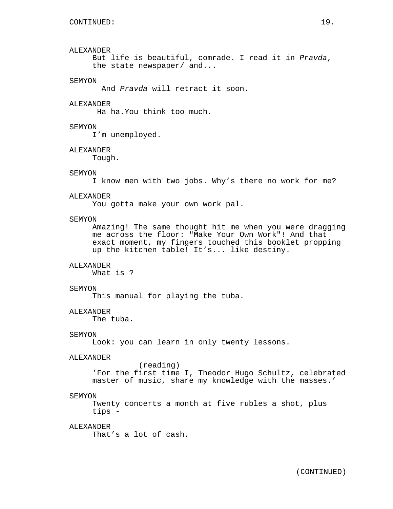### ALEXANDER

But life is beautiful, comrade. I read it in Pravda, the state newspaper/ and...

#### SEMYON

And Pravda will retract it soon.

### ALEXANDER

Ha ha.You think too much.

### SEMYON

I'm unemployed.

#### ALEXANDER

Tough.

### SEMYON

I know men with two jobs. Why's there no work for me?

#### ALEXANDER

You gotta make your own work pal.

### **SEMYON**

Amazing! The same thought hit me when you were dragging me across the floor: "Make Your Own Work"! And that exact moment, my fingers touched this booklet propping up the kitchen table! It's... like destiny.

### ALEXANDER

What is ?

#### SEMYON

This manual for playing the tuba.

## ALEXANDER

The tuba.

#### SEMYON

Look: you can learn in only twenty lessons.

### ALEXANDER

(reading) 'For the first time I, Theodor Hugo Schultz, celebrated master of music, share my knowledge with the masses.'

#### SEMYON

Twenty concerts a month at five rubles a shot, plus tips -

### ALEXANDER

That's a lot of cash.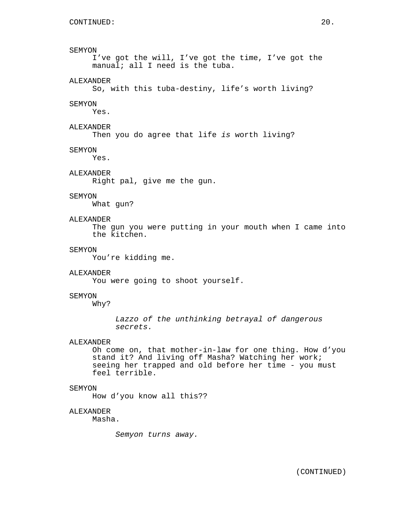### SEMYON

I've got the will, I've got the time, I've got the manual; all I need is the tuba.

## ALEXANDER

So, with this tuba-destiny, life's worth living?

#### **SEMYON**

Yes.

## ALEXANDER

Then you do agree that life is worth living?

#### SEMYON

Yes.

## ALEXANDER

Right pal, give me the gun.

## SEMYON

What gun?

# ALEXANDER

The gun you were putting in your mouth when I came into the kitchen.

## SEMYON

You're kidding me.

### ALEXANDER

You were going to shoot yourself.

### SEMYON

Why?

Lazzo of the unthinking betrayal of dangerous secrets.

### ALEXANDER

Oh come on, that mother-in-law for one thing. How d'you stand it? And living off Masha? Watching her work; seeing her trapped and old before her time - you must feel terrible.

### SEMYON

How d'you know all this??

### ALEXANDER

Masha.

Semyon turns away.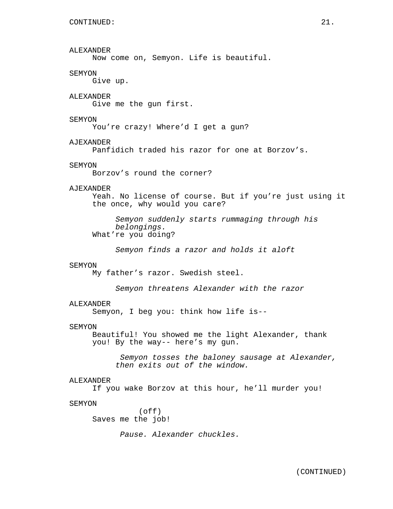ALEXANDER Now come on, Semyon. Life is beautiful. SEMYON Give up. ALEXANDER Give me the gun first. SEMYON You're crazy! Where'd I get a gun? AJEXANDER Panfidich traded his razor for one at Borzov's. SEMYON Borzov's round the corner? AJEXANDER Yeah. No license of course. But if you're just using it the once, why would you care? Semyon suddenly starts rummaging through his belongings. What're you doing? Semyon finds a razor and holds it aloft SEMYON My father's razor. Swedish steel. Semyon threatens Alexander with the razor ALEXANDER Semyon, I beg you: think how life is-- SEMYON Beautiful! You showed me the light Alexander, thank you! By the way-- here's my gun. Semyon tosses the baloney sausage at Alexander, then exits out of the window. ALEXANDER If you wake Borzov at this hour, he'll murder you! SEMYON (off) Saves me the job! Pause. Alexander chuckles.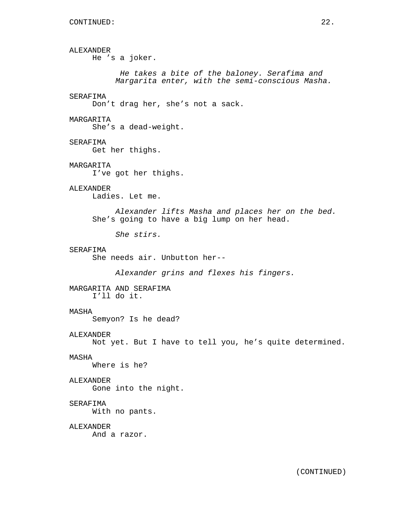ALEXANDER He 's a joker. He takes a bite of the baloney. Serafima and Margarita enter, with the semi-conscious Masha. SERAFIMA Don't drag her, she's not a sack. MARGARITA She's a dead-weight. SERAFIMA Get her thighs. MARGARITA I've got her thighs. ALEXANDER Ladies. Let me. Alexander lifts Masha and places her on the bed. She's going to have a big lump on her head. She stirs. SERAFIMA She needs air. Unbutton her-- Alexander grins and flexes his fingers. MARGARITA AND SERAFIMA I'll do it. MASHA Semyon? Is he dead? ALEXANDER Not yet. But I have to tell you, he's quite determined. MASHA Where is he? ALEXANDER Gone into the night. SERAFIMA With no pants. ALEXANDER And a razor.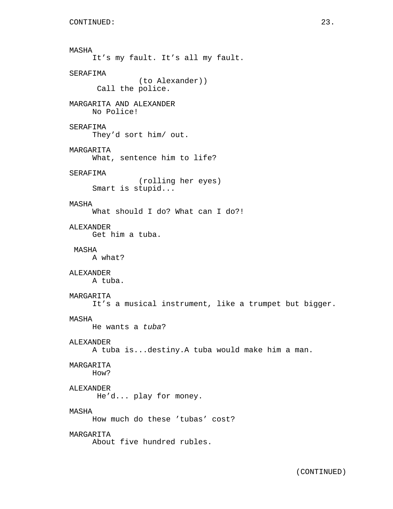```
MASHA
     It's my fault. It's all my fault.
SERAFIMA
               (to Alexander))
      Call the police.
MARGARITA AND ALEXANDER
     No Police!
SERAFIMA
     They'd sort him/ out.
MARGARITA
     What, sentence him to life?
SERAFIMA
               (rolling her eyes)
     Smart is stupid...
MASHA
     What should I do? What can I do?!
ALEXANDER
     Get him a tuba.
MASHA
     A what?
ALEXANDER
     A tuba.
MARGARITA
     It's a musical instrument, like a trumpet but bigger.
MASHA
    He wants a tuba?
ALEXANDER
     A tuba is...destiny.A tuba would make him a man.
MARGARITA
     How?
ALEXANDER
      He'd... play for money.
MASHA
     How much do these 'tubas' cost?
MARGARITA
     About five hundred rubles.
```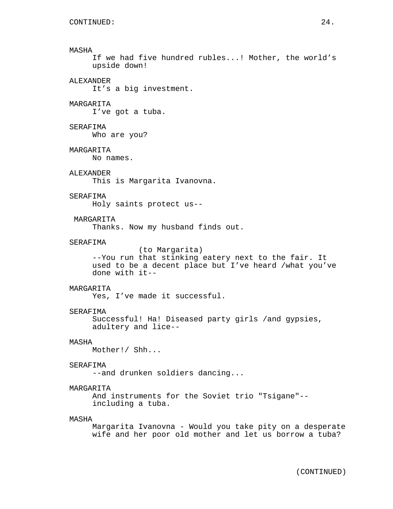If we had five hundred rubles...! Mother, the world's upside down!

## ALEXANDER

It's a big investment.

### MARGARITA

I've got a tuba.

## SERAFIMA

Who are you?

### MARGARITA

No names.

### ALEXANDER

This is Margarita Ivanovna.

### SERAFIMA

Holy saints protect us--

## MARGARITA

Thanks. Now my husband finds out.

### SERAFIMA

(to Margarita) --You run that stinking eatery next to the fair. It used to be a decent place but I've heard /what you've done with it--

### MARGARITA

Yes, I've made it successful.

#### SERAFIMA

Successful! Ha! Diseased party girls /and gypsies, adultery and lice--

## MASHA

Mother!/ Shh...

#### SERAFIMA

--and drunken soldiers dancing...

## MARGARITA

And instruments for the Soviet trio "Tsigane"- including a tuba.

### MASHA

Margarita Ivanovna - Would you take pity on a desperate wife and her poor old mother and let us borrow a tuba?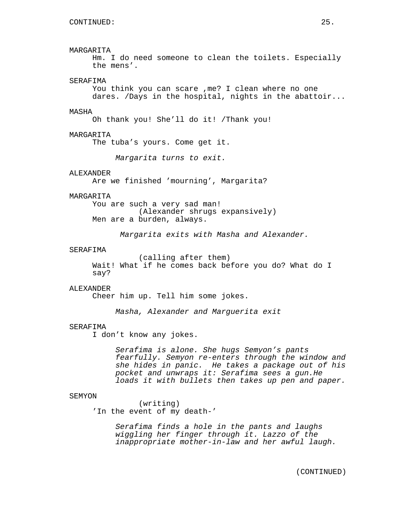## MARGARITA

Hm. I do need someone to clean the toilets. Especially the mens'.

### SERAFIMA

You think you can scare ,me? I clean where no one dares. /Days in the hospital, nights in the abattoir...

#### MASHA

Oh thank you! She'll do it! /Thank you!

### MARGARITA

The tuba's yours. Come get it.

Margarita turns to exit.

## ALEXANDER

Are we finished 'mourning', Margarita?

### MARGARITA

You are such a very sad man! (Alexander shrugs expansively) Men are a burden, always.

Margarita exits with Masha and Alexander.

### SERAFIMA

(calling after them) Wait! What if he comes back before you do? What do I say?

### ALEXANDER

Cheer him up. Tell him some jokes.

Masha, Alexander and Marguerita exit

#### SERAFIMA

I don't know any jokes.

Serafima is alone. She hugs Semyon's pants fearfully. Semyon re-enters through the window and she hides in panic. He takes a package out of his pocket and unwraps it: Serafima sees a gun.He loads it with bullets then takes up pen and paper.

#### SEMYON

(writing) 'In the event of my death-'

> Serafima finds a hole in the pants and laughs wiggling her finger through it. Lazzo of the inappropriate mother-in-law and her awful laugh.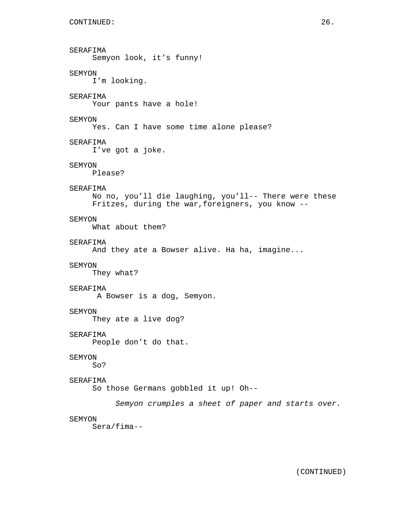```
SERAFIMA
     Semyon look, it's funny!
SEMYON
     I'm looking.
SERAFIMA
     Your pants have a hole!
SEMYON
     Yes. Can I have some time alone please?
SERAFIMA
     I've got a joke.
SEMYON
     Please?
SERAFIMA
     No no, you'll die laughing, you'll-- There were these
     Fritzes, during the war,foreigners, you know --
SEMYON
     What about them?
SERAFIMA
     And they ate a Bowser alive. Ha ha, imagine...
SEMYON
     They what?
SERAFIMA
     A Bowser is a dog, Semyon.
SEMYON
     They ate a live dog?
SERAFIMA
     People don't do that.
SEMYON
     So?
SERAFIMA
     So those Germans gobbled it up! Oh--
          Semyon crumples a sheet of paper and starts over.
SEMYON
     Sera/fima--
```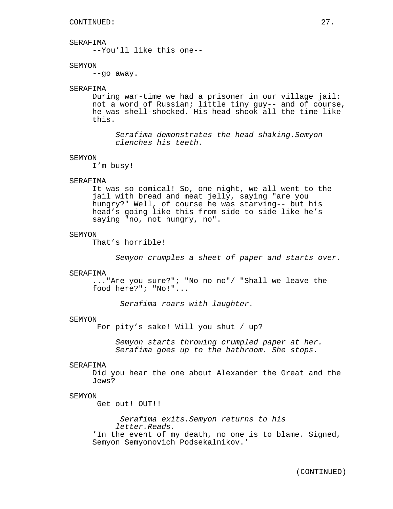## SERAFIMA

--You'll like this one--

### SEMYON

--go away.

## SERAFIMA

During war-time we had a prisoner in our village jail: not a word of Russian; little tiny guy-- and of course, he was shell-shocked. His head shook all the time like this.

Serafima demonstrates the head shaking.Semyon clenches his teeth.

#### SEMYON

I'm busy!

### SERAFIMA

It was so comical! So, one night, we all went to the jail with bread and meat jelly, saying "are you hungry?" Well, of course he was starving-- but his head's going like this from side to side like he's saying "no, not hungry, no".

### SEMYON

That's horrible!

Semyon crumples a sheet of paper and starts over.

#### SERAFIMA

..."Are you sure?"; "No no no"/ "Shall we leave the food here?"; "No!"...

Serafima roars with laughter.

#### SEMYON

For pity's sake! Will you shut / up?

Semyon starts throwing crumpled paper at her. Serafima goes up to the bathroom. She stops.

#### SERAFIMA

Did you hear the one about Alexander the Great and the Jews?

## SEMYON

Get out! OUT!!

Serafima exits.Semyon returns to his letter.Reads. 'In the event of my death, no one is to blame. Signed, Semyon Semyonovich Podsekalnikov.'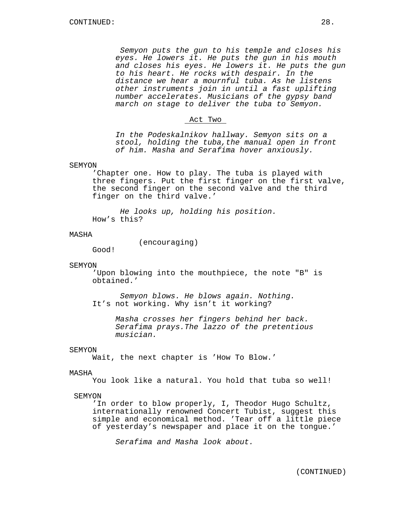Semyon puts the gun to his temple and closes his eyes. He lowers it. He puts the gun in his mouth and closes his eyes. He lowers it. He puts the gun to his heart. He rocks with despair. In the distance we hear a mournful tuba. As he listens other instruments join in until a fast uplifting number accelerates. Musicians of the gypsy band march on stage to deliver the tuba to Semyon.

#### Act Two

In the Podeskalnikov hallway. Semyon sits on a stool, holding the tuba,the manual open in front of him. Masha and Serafima hover anxiously.

### SEMYON

'Chapter one. How to play. The tuba is played with three fingers. Put the first finger on the first valve, the second finger on the second valve and the third finger on the third valve.'

He looks up, holding his position. How's this?

### MASHA

(encouraging) Good!

# SEMYON

'Upon blowing into the mouthpiece, the note "B" is obtained.'

Semyon blows. He blows again. Nothing. It's not working. Why isn't it working?

> Masha crosses her fingers behind her back. Serafima prays.The lazzo of the pretentious musician.

#### SEMYON

Wait, the next chapter is 'How To Blow.'

### MASHA

You look like a natural. You hold that tuba so well!

### SEMYON

'In order to blow properly, I, Theodor Hugo Schultz, internationally renowned Concert Tubist, suggest this simple and economical method. 'Tear off a little piece of yesterday's newspaper and place it on the tongue.'

Serafima and Masha look about.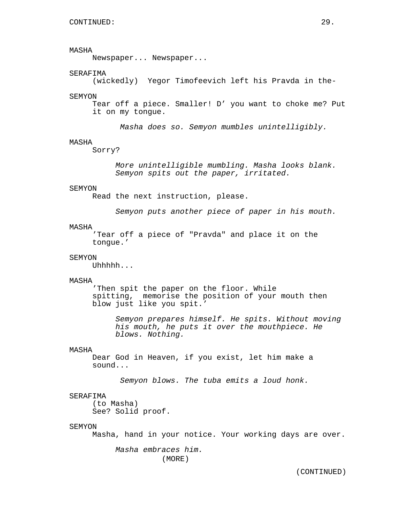Newspaper... Newspaper...

### SERAFIMA

(wickedly) Yegor Timofeevich left his Pravda in the-

#### SEMYON

Tear off a piece. Smaller! D' you want to choke me? Put it on my tongue.

Masha does so. Semyon mumbles unintelligibly.

### MASHA

Sorry?

More unintelligible mumbling. Masha looks blank. Semyon spits out the paper, irritated.

### SEMYON

Read the next instruction, please.

Semyon puts another piece of paper in his mouth.

## MASHA

'Tear off a piece of "Pravda" and place it on the tongue.'

## SEMYON

Uhhhhh...

#### MASHA

'Then spit the paper on the floor. While spitting, memorise the position of your mouth then blow just like you spit.'

Semyon prepares himself. He spits. Without moving his mouth, he puts it over the mouthpiece. He blows. Nothing.

### MASHA

Dear God in Heaven, if you exist, let him make a sound...

Semyon blows. The tuba emits a loud honk.

## SERAFIMA

(to Masha) See? Solid proof.

#### SEMYON

Masha, hand in your notice. Your working days are over.

Masha embraces him. (MORE)

(CONTINUED)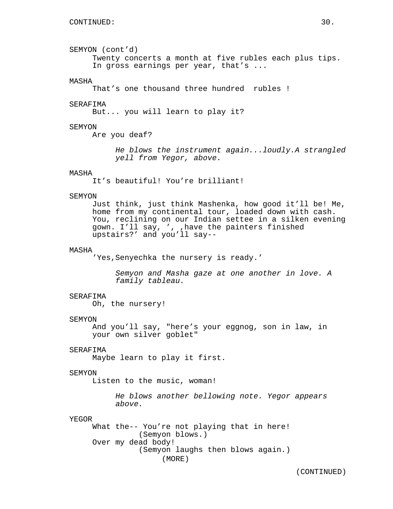SEMYON (cont'd) Twenty concerts a month at five rubles each plus tips. In gross earnings per year, that's ...

#### MASHA

That's one thousand three hundred rubles !

### SERAFIMA

But... you will learn to play it?

### SEMYON

Are you deaf?

He blows the instrument again...loudly.A strangled yell from Yegor, above.

## MASHA

It's beautiful! You're brilliant!

#### SEMYON

Just think, just think Mashenka, how good it'll be! Me, home from my continental tour, loaded down with cash. You, reclining on our Indian settee in a silken evening gown. I'll say, ', ,have the painters finished upstairs?' and you'll say--

### MASHA

'Yes, Senyechka the nursery is ready.'

Semyon and Masha gaze at one another in love. A family tableau.

#### SERAFIMA

Oh, the nursery!

#### SEMYON

And you'll say, "here's your eggnog, son in law, in your own silver goblet"

#### SERAFIMA

Maybe learn to play it first.

#### SEMYON

Listen to the music, woman!

He blows another bellowing note. Yegor appears above.

#### YEGOR

What the-- You're not playing that in here! (Semyon blows.) Over my dead body! (Semyon laughs then blows again.) (MORE)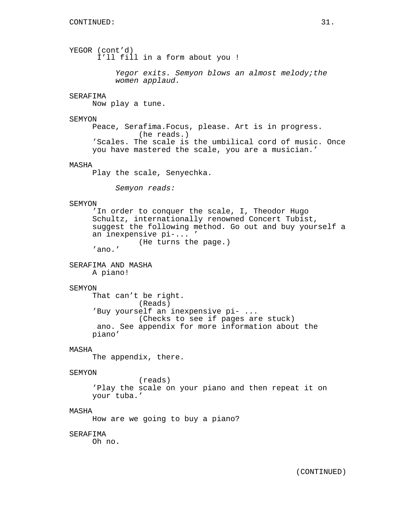YEGOR (cont'd) I'll fill in a form about you ! Yegor exits. Semyon blows an almost melody;the women applaud. SERAFIMA Now play a tune. SEMYON Peace, Serafima.Focus, please. Art is in progress. (he reads.) 'Scales. The scale is the umbilical cord of music. Once you have mastered the scale, you are a musician.' MASHA Play the scale, Senyechka. Semyon reads: SEMYON 'In order to conquer the scale, I, Theodor Hugo Schultz, internationally renowned Concert Tubist, suggest the following method. Go out and buy yourself a an inexpensive pi-... ' (He turns the page.) 'ano.' SERAFIMA AND MASHA A piano! SEMYON That can't be right. (Reads) 'Buy yourself an inexpensive pi- ... (Checks to see if pages are stuck) ano. See appendix for more information about the piano' MASHA The appendix, there. SEMYON (reads) 'Play the scale on your piano and then repeat it on your tuba.' MASHA How are we going to buy a piano? SERAFIMA Oh no.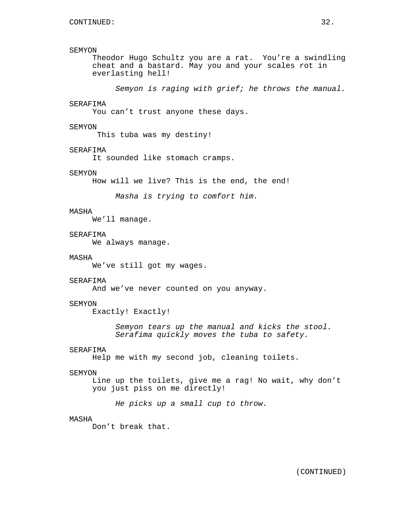### SEMYON

Theodor Hugo Schultz you are a rat. You're a swindling cheat and a bastard. May you and your scales rot in everlasting hell!

Semyon is raging with grief; he throws the manual.

## SERAFIMA

You can't trust anyone these days.

#### SEMYON

This tuba was my destiny!

#### SERAFIMA

It sounded like stomach cramps.

### SEMYON

How will we live? This is the end, the end!

Masha is trying to comfort him.

### MASHA

We'll manage.

## SERAFIMA

We always manage.

## MASHA

We've still got my wages.

## SERAFIMA

And we've never counted on you anyway.

### SEMYON

Exactly! Exactly!

Semyon tears up the manual and kicks the stool. Serafima quickly moves the tuba to safety.

#### SERAFIMA

Help me with my second job, cleaning toilets.

#### SEMYON

Line up the toilets, give me a rag! No wait, why don't you just piss on me directly!

He picks up a small cup to throw.

### MASHA

Don't break that.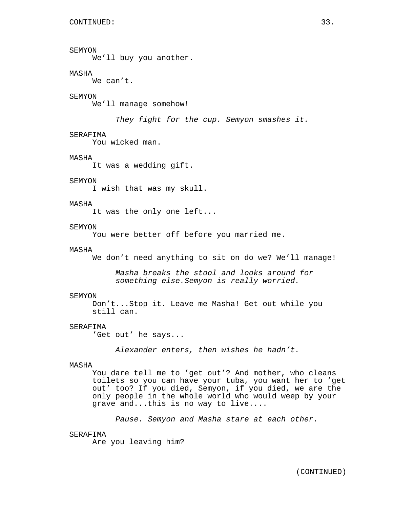# SEMYON

We'll buy you another.

# MASHA

We can't.

### SEMYON

We'll manage somehow!

They fight for the cup. Semyon smashes it.

### SERAFIMA

You wicked man.

### MASHA

It was a wedding gift.

## SEMYON

I wish that was my skull.

### MASHA

It was the only one left...

### SEMYON

You were better off before you married me.

### MASHA

We don't need anything to sit on do we? We'll manage!

Masha breaks the stool and looks around for something else.Semyon is really worried.

#### SEMYON

Don't...Stop it. Leave me Masha! Get out while you still can.

#### SERAFIMA

'Get out' he says...

Alexander enters, then wishes he hadn't.

#### MASHA

You dare tell me to 'get out'? And mother, who cleans toilets so you can have your tuba, you want her to 'get out' too? If you died, Semyon, if you died, we are the only people in the whole world who would weep by your grave and...this is no way to live....

Pause. Semyon and Masha stare at each other.

### SERAFIMA

Are you leaving him?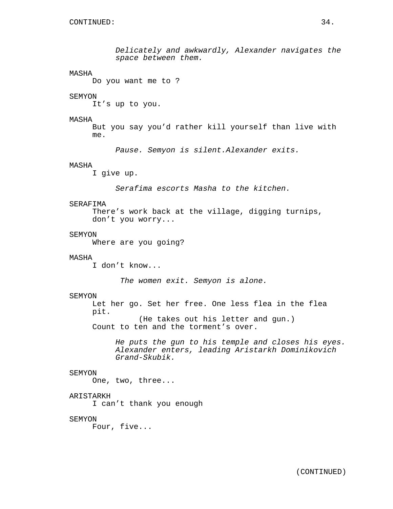Delicately and awkwardly, Alexander navigates the space between them.

## MASHA

Do you want me to ?

## SEMYON

It's up to you.

### MASHA

But you say you'd rather kill yourself than live with me.

Pause. Semyon is silent.Alexander exits.

## MASHA

I give up.

Serafima escorts Masha to the kitchen.

#### SERAFIMA

There's work back at the village, digging turnips, don't you worry...

## **SEMYON**

Where are you going?

## MASHA

I don't know...

The women exit. Semyon is alone.

#### SEMYON

Let her go. Set her free. One less flea in the flea pit. (He takes out his letter and gun.) Count to ten and the torment's over.

He puts the gun to his temple and closes his eyes. Alexander enters, leading Aristarkh Dominikovich Grand-Skubik.

#### SEMYON

One, two, three...

# ARISTARKH

I can't thank you enough

### SEMYON

Four, five...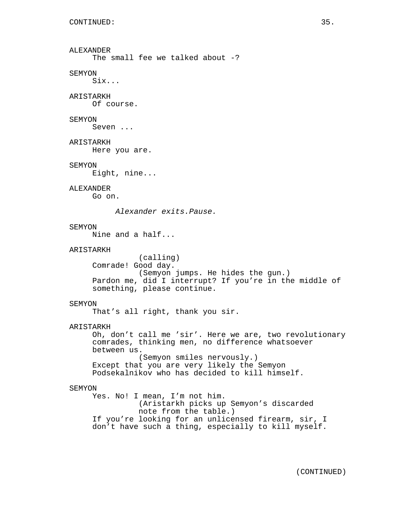ALEXANDER The small fee we talked about -? SEMYON Six... ARISTARKH Of course. SEMYON Seven ... ARISTARKH Here you are. SEMYON Eight, nine... ALEXANDER Go on. Alexander exits.Pause. SEMYON Nine and a half... ARISTARKH (calling) Comrade! Good day. (Semyon jumps. He hides the gun.) Pardon me, did I interrupt? If you're in the middle of something, please continue. SEMYON That's all right, thank you sir. ARISTARKH Oh, don't call me 'sir'. Here we are, two revolutionary comrades, thinking men, no difference whatsoever between us. (Semyon smiles nervously.) Except that you are very likely the Semyon Podsekalnikov who has decided to kill himself. SEMYON Yes. No! I mean, I'm not him. (Aristarkh picks up Semyon's discarded note from the table.) If you're looking for an unlicensed firearm, sir, I don't have such a thing, especially to kill myself.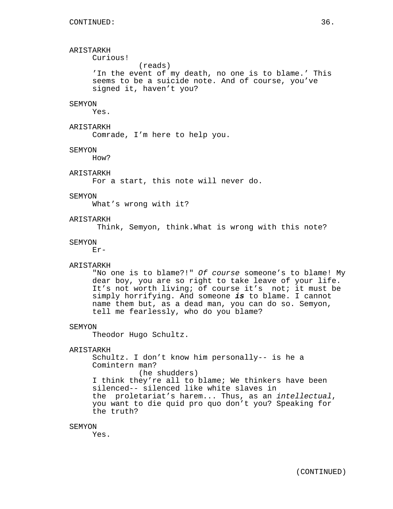ARISTARKH Curious!

(reads)

'In the event of my death, no one is to blame.' This seems to be a suicide note. And of course, you've signed it, haven't you?

# **SEMYON**

Yes.

# ARISTARKH

Comrade, I'm here to help you.

#### SEMYON

How?

# ARISTARKH

For a start, this note will never do.

## SEMYON

What's wrong with it?

# ARISTARKH

Think, Semyon, think.What is wrong with this note?

#### SEMYON

Er-

## ARISTARKH

"No one is to blame?!" Of course someone's to blame! My dear boy, you are so right to take leave of your life. It's not worth living; of course it's not; it must be simply horrifying. And someone **is** to blame. I cannot name them but, as a dead man, you can do so. Semyon, tell me fearlessly, who do you blame?

#### SEMYON

Theodor Hugo Schultz.

# ARISTARKH

Schultz. I don't know him personally-- is he a Comintern man? (he shudders) I think they're all to blame; We thinkers have been silenced-- silenced like white slaves in the proletariat's harem... Thus, as an intellectual, you want to die quid pro quo don't you? Speaking for the truth?

## SEMYON

Yes.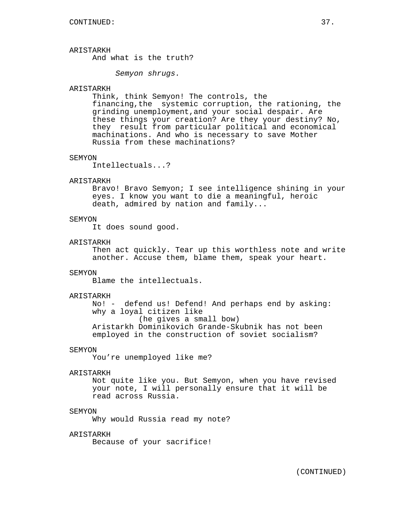# ARISTARKH

And what is the truth?

Semyon shrugs.

# ARISTARKH

Think, think Semyon! The controls, the financing,the systemic corruption, the rationing, the grinding unemployment,and your social despair. Are these things your creation? Are they your destiny? No, they result from particular political and economical machinations. And who is necessary to save Mother Russia from these machinations?

#### SEMYON

Intellectuals...?

# ARISTARKH

Bravo! Bravo Semyon; I see intelligence shining in your eyes. I know you want to die a meaningful, heroic death, admired by nation and family...

## **SEMYON**

It does sound good.

#### ARISTARKH

Then act quickly. Tear up this worthless note and write another. Accuse them, blame them, speak your heart.

#### SEMYON

Blame the intellectuals.

#### ARISTARKH

No! - defend us! Defend! And perhaps end by asking: why a loyal citizen like (he gives a small bow) Aristarkh Dominikovich Grande-Skubnik has not been employed in the construction of soviet socialism?

#### SEMYON

You're unemployed like me?

## ARISTARKH

Not quite like you. But Semyon, when you have revised your note, I will personally ensure that it will be read across Russia.

## SEMYON

Why would Russia read my note?

# ARISTARKH

Because of your sacrifice!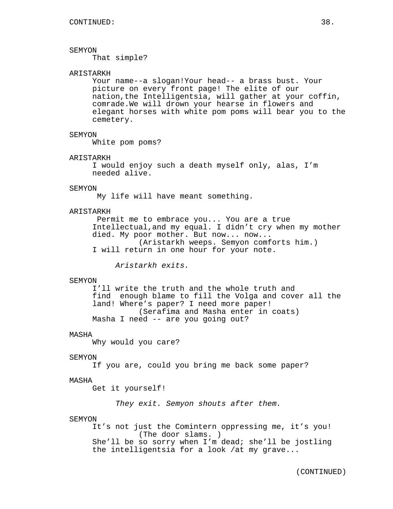## SEMYON

That simple?

# ARISTARKH

Your name--a slogan!Your head-- a brass bust. Your picture on every front page! The elite of our nation,the Intelligentsia, will gather at your coffin, comrade.We will drown your hearse in flowers and elegant horses with white pom poms will bear you to the cemetery.

#### SEMYON

White pom poms?

#### ARISTARKH

I would enjoy such a death myself only, alas, I'm needed alive.

#### SEMYON

My life will have meant something.

## ARISTARKH

Permit me to embrace you... You are a true Intellectual,and my equal. I didn't cry when my mother died. My poor mother. But now... now... (Aristarkh weeps. Semyon comforts him.) I will return in one hour for your note.

Aristarkh exits.

#### SEMYON

I'll write the truth and the whole truth and find enough blame to fill the Volga and cover all the land! Where's paper? I need more paper! (Serafima and Masha enter in coats) Masha I need -- are you going out?

#### MASHA

Why would you care?

#### SEMYON

If you are, could you bring me back some paper?

#### MASHA

Get it yourself!

They exit. Semyon shouts after them.

#### SEMYON

It's not just the Comintern oppressing me, it's you! (The door slams. ) She'll be so sorry when I'm dead; she'll be jostling the intelligentsia for a look /at my grave...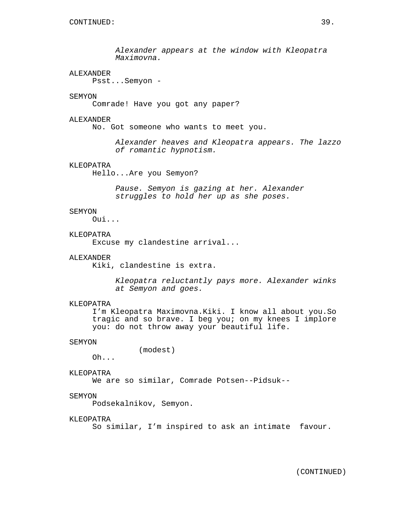Alexander appears at the window with Kleopatra Maximovna.

## ALEXANDER

Psst...Semyon -

## SEMYON

Comrade! Have you got any paper?

#### ALEXANDER

No. Got someone who wants to meet you.

Alexander heaves and Kleopatra appears. The lazzo of romantic hypnotism.

# KLEOPATRA

Hello...Are you Semyon?

Pause. Semyon is gazing at her. Alexander struggles to hold her up as she poses.

#### SEMYON

Oui...

#### **KLEOPATRA**

Excuse my clandestine arrival...

## ALEXANDER

Kiki, clandestine is extra.

Kleopatra reluctantly pays more. Alexander winks at Semyon and goes.

# KLEOPATRA

I'm Kleopatra Maximovna.Kiki. I know all about you.So tragic and so brave. I beg you; on my knees I implore you: do not throw away your beautiful life.

#### SEMYON

(modest)

Oh...

# KLEOPATRA

We are so similar, Comrade Potsen--Pidsuk--

## SEMYON

Podsekalnikov, Semyon.

## KLEOPATRA

So similar, I'm inspired to ask an intimate favour.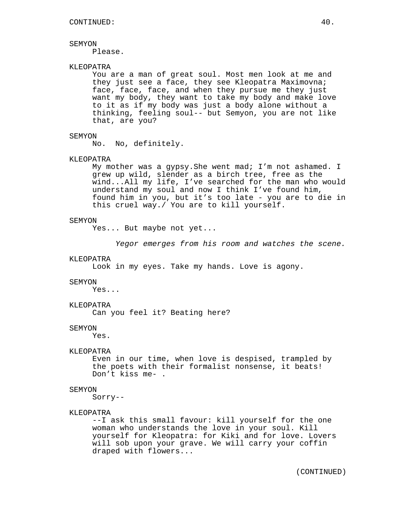#### SEMYON

Please.

# KLEOPATRA

You are a man of great soul. Most men look at me and they just see a face, they see Kleopatra Maximovna; face, face, face, and when they pursue me they just want my body, they want to take my body and make love to it as if my body was just a body alone without a thinking, feeling soul-- but Semyon, you are not like that, are you?

#### SEMYON

No. No, definitely.

## KLEOPATRA

My mother was a gypsy.She went mad; I'm not ashamed. I grew up wild, slender as a birch tree, free as the wind...All my life, I've searched for the man who would understand my soul and now I think I've found him, found him in you, but it's too late - you are to die in this cruel way./ You are to kill yourself.

#### SEMYON

Yes... But maybe not yet...

Yegor emerges from his room and watches the scene.

#### KLEOPATRA

Look in my eyes. Take my hands. Love is agony.

#### **SEMYON**

Yes...

#### KLEOPATRA

Can you feel it? Beating here?

#### SEMYON

Yes.

#### KLEOPATRA

Even in our time, when love is despised, trampled by the poets with their formalist nonsense, it beats! Don't kiss me- .

#### SEMYON

Sorry--

#### KLEOPATRA

--I ask this small favour: kill yourself for the one woman who understands the love in your soul. Kill yourself for Kleopatra: for Kiki and for love. Lovers will sob upon your grave. We will carry your coffin draped with flowers...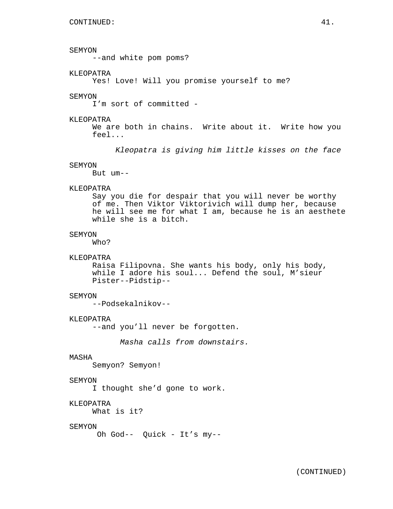#### SEMYON

--and white pom poms?

## KLEOPATRA

Yes! Love! Will you promise yourself to me?

## SEMYON

I'm sort of committed -

#### KLEOPATRA

We are both in chains. Write about it. Write how you feel...

Kleopatra is giving him little kisses on the face

#### SEMYON

But um--

#### KLEOPATRA

Say you die for despair that you will never be worthy of me. Then Viktor Viktorivich will dump her, because he will see me for what I am, because he is an aesthete while she is a bitch.

## **SEMYON**

Who?

#### KLEOPATRA

Raisa Filipovna. She wants his body, only his body, while I adore his soul... Defend the soul, M'sieur Pister--Pidstip--

#### SEMYON

--Podsekalnikov--

#### KLEOPATRA

--and you'll never be forgotten.

Masha calls from downstairs.

# MASHA

Semyon? Semyon!

#### SEMYON

I thought she'd gone to work.

# KLEOPATRA

What is it?

## SEMYON

Oh God-- Quick - It's my--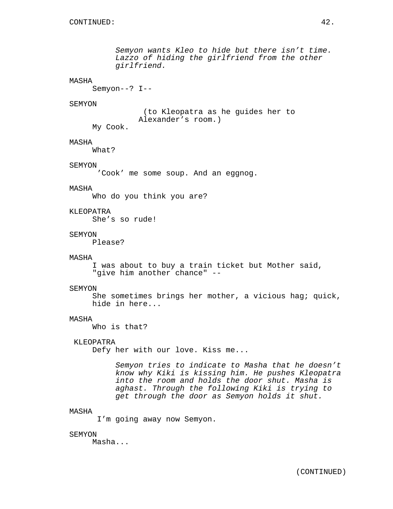# MASHA

Semyon--? I--

#### SEMYON

(to Kleopatra as he guides her to Alexander's room.)

My Cook.

# MASHA

What?

## SEMYON

'Cook' me some soup. And an eggnog.

#### MASHA

Who do you think you are?

## KLEOPATRA

She's so rude!

#### **SEMYON**

Please?

## MASHA

I was about to buy a train ticket but Mother said, "give him another chance" --

#### SEMYON

She sometimes brings her mother, a vicious hag; quick, hide in here...

## MASHA

Who is that?

## KLEOPATRA

Defy her with our love. Kiss me...

Semyon tries to indicate to Masha that he doesn't know why Kiki is kissing him. He pushes Kleopatra into the room and holds the door shut. Masha is aghast. Through the following Kiki is trying to get through the door as Semyon holds it shut.

## MASHA

I'm going away now Semyon.

#### SEMYON

Masha...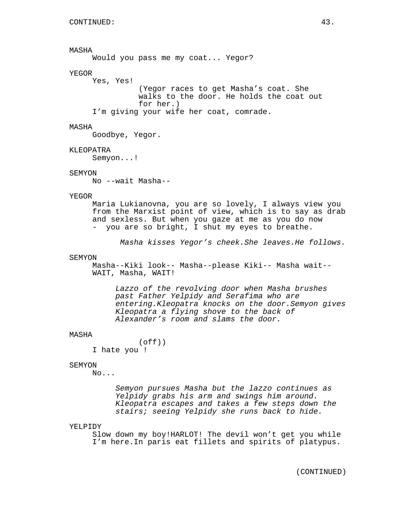# MASHA

Would you pass me my coat... Yegor?

# YEGOR

Yes, Yes! (Yegor races to get Masha's coat. She walks to the door. He holds the coat out for her.) I'm giving your wife her coat, comrade.

#### MASHA

Goodbye, Yegor.

#### KLEOPATRA

Semyon...!

## SEMYON

No --wait Masha--

#### YEGOR

Maria Lukianovna, you are so lovely, I always view you from the Marxist point of view, which is to say as drab and sexless. But when you gaze at me as you do now - you are so bright, I shut my eyes to breathe.

Masha kisses Yegor's cheek.She leaves.He follows.

#### SEMYON

Masha--Kiki look-- Masha--please Kiki-- Masha wait-- WAIT, Masha, WAIT!

Lazzo of the revolving door when Masha brushes past Father Yelpidy and Serafima who are entering.Kleopatra knocks on the door.Semyon gives Kleopatra a flying shove to the back of Alexander's room and slams the door.

#### MASHA

 $($ off $)$  $)$ I hate you !

#### SEMYON

No...

Semyon pursues Masha but the lazzo continues as Yelpidy grabs his arm and swings him around. Kleopatra escapes and takes a few steps down the stairs; seeing Yelpidy she runs back to hide.

#### YELPIDY

Slow down my boy!HARLOT! The devil won't get you while I'm here.In paris eat fillets and spirits of platypus.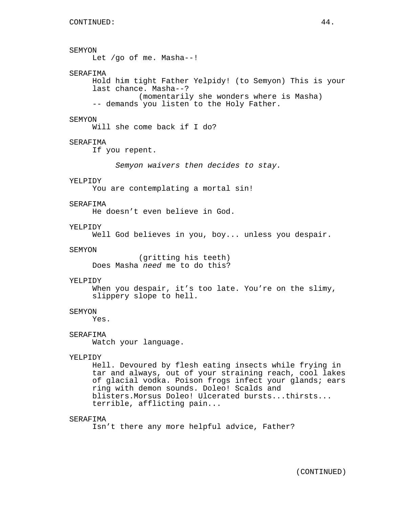```
SEMYON
     Let /go of me. Masha--!
SERAFIMA
     Hold him tight Father Yelpidy! (to Semyon) This is your
     last chance. Masha--?
               (momentarily she wonders where is Masha)
     -- demands you listen to the Holy Father.
SEMYON
     Will she come back if I do?
SERAFIMA
     If you repent.
          Semyon waivers then decides to stay.
YELPIDY
     You are contemplating a mortal sin!
SERAFIMA
     He doesn't even believe in God.
YELPIDY
     Well God believes in you, boy... unless you despair.
SEMYON
               (gritting his teeth)
     Does Masha need me to do this?
YELPIDY
     When you despair, it's too late. You're on the slimy,
     slippery slope to hell.
SEMYON
     Yes.
SERAFIMA
     Watch your language.
YELPIDY
     Hell. Devoured by flesh eating insects while frying in
     tar and always, out of your straining reach, cool lakes
     of glacial vodka. Poison frogs infect your glands; ears
     ring with demon sounds. Doleo! Scalds and
     blisters.Morsus Doleo! Ulcerated bursts...thirsts...
     terrible, afflicting pain...
SERAFIMA
```
Isn't there any more helpful advice, Father?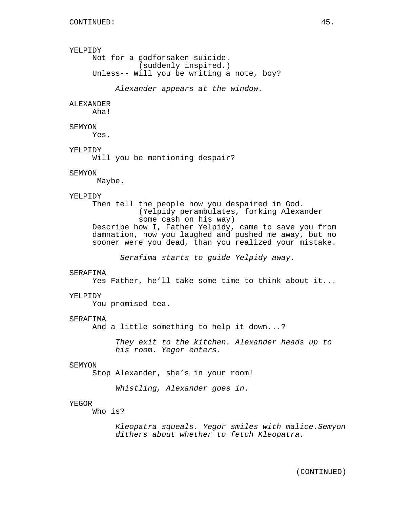# YELPIDY

```
Not for a godforsaken suicide.
          (suddenly inspired.)
Unless-- Will you be writing a note, boy?
```
Alexander appears at the window.

# **ALEXANDER**

Aha!

## SEMYON

Yes.

## YELPIDY

Will you be mentioning despair?

## SEMYON

Maybe.

#### YELPIDY

Then tell the people how you despaired in God. (Yelpidy perambulates, forking Alexander some cash on his way) Describe how I, Father Yelpidy, came to save you from damnation, how you laughed and pushed me away, but no sooner were you dead, than you realized your mistake.

Serafima starts to guide Yelpidy away.

# SERAFIMA

Yes Father, he'll take some time to think about it...

#### YELPIDY

You promised tea.

#### SERAFIMA

And a little something to help it down...?

They exit to the kitchen. Alexander heads up to his room. Yegor enters.

#### SEMYON

Stop Alexander, she's in your room!

Whistling, Alexander goes in.

## YEGOR

Who is?

Kleopatra squeals. Yegor smiles with malice.Semyon dithers about whether to fetch Kleopatra.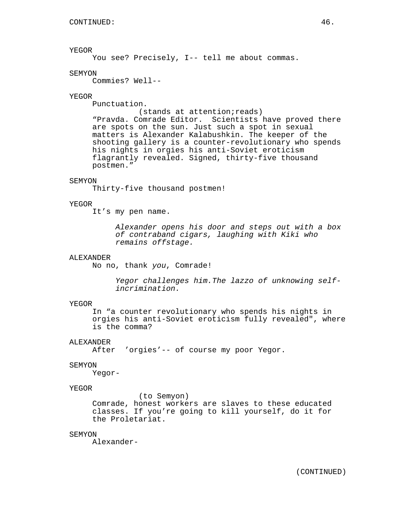# YEGOR

You see? Precisely, I-- tell me about commas.

## **SEMYON**

Commies? Well--

## YEGOR

Punctuation.

(stands at attention; reads)

"Pravda. Comrade Editor. Scientists have proved there are spots on the sun. Just such a spot in sexual matters is Alexander Kalabushkin. The keeper of the shooting gallery is a counter-revolutionary who spends his nights in orgies his anti-Soviet eroticism flagrantly revealed. Signed, thirty-five thousand postmen."

#### SEMYON

Thirty-five thousand postmen!

#### YEGOR

It's my pen name.

Alexander opens his door and steps out with a box of contraband cigars, laughing with Kiki who remains offstage.

# ALEXANDER

No no, thank you, Comrade!

Yegor challenges him.The lazzo of unknowing selfincrimination.

## YEGOR

In "a counter revolutionary who spends his nights in orgies his anti-Soviet eroticism fully revealed", where is the comma?

## ALEXANDER

After 'orgies'-- of course my poor Yegor.

#### SEMYON

Yegor-

## YEGOR

(to Semyon)

Comrade, honest workers are slaves to these educated classes. If you're going to kill yourself, do it for the Proletariat.

#### SEMYON

Alexander-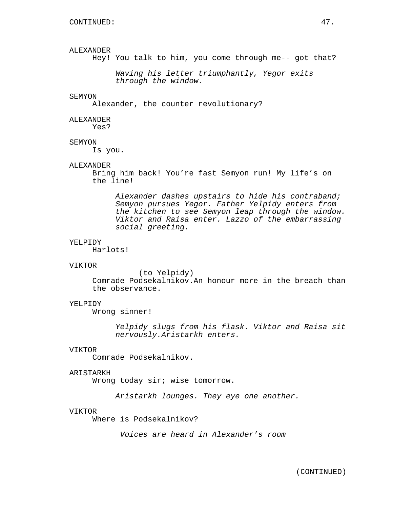# ALEXANDER

Hey! You talk to him, you come through me-- got that?

Waving his letter triumphantly, Yegor exits through the window.

#### SEMYON

Alexander, the counter revolutionary?

## ALEXANDER

Yes?

## SEMYON

Is you.

## ALEXANDER

Bring him back! You're fast Semyon run! My life's on the line!

Alexander dashes upstairs to hide his contraband; Semyon pursues Yegor. Father Yelpidy enters from the kitchen to see Semyon leap through the window. Viktor and Raisa enter. Lazzo of the embarrassing social greeting.

#### YELPIDY

Harlots!

# VIKTOR

(to Yelpidy) Comrade Podsekalnikov.An honour more in the breach than the observance.

# YELPIDY

Wrong sinner!

Yelpidy slugs from his flask. Viktor and Raisa sit nervously.Aristarkh enters.

## VIKTOR

Comrade Podsekalnikov.

#### ARISTARKH

Wrong today sir; wise tomorrow.

Aristarkh lounges. They eye one another.

#### VIKTOR

Where is Podsekalnikov?

Voices are heard in Alexander's room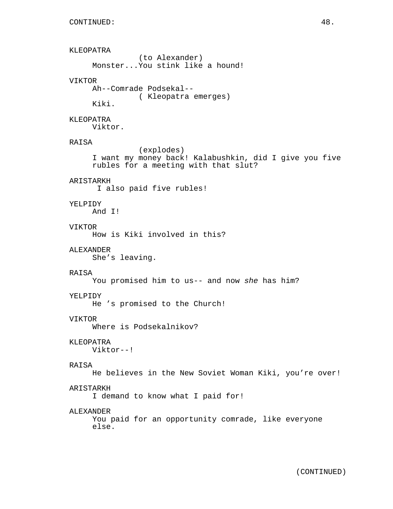KLEOPATRA (to Alexander) Monster...You stink like a hound! VIKTOR Ah--Comrade Podsekal-- ( Kleopatra emerges) Kiki. KLEOPATRA Viktor. RAISA (explodes) I want my money back! Kalabushkin, did I give you five rubles for a meeting with that slut? ARISTARKH I also paid five rubles! YELPIDY And I! VIKTOR How is Kiki involved in this? ALEXANDER She's leaving. RAISA You promised him to us-- and now she has him? YELPIDY He 's promised to the Church! VIKTOR Where is Podsekalnikov? KLEOPATRA Viktor--! RAISA He believes in the New Soviet Woman Kiki, you're over! ARISTARKH I demand to know what I paid for! ALEXANDER You paid for an opportunity comrade, like everyone else.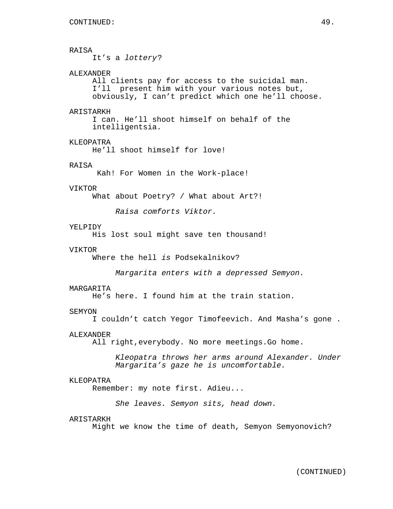# RAISA

It's a lottery?

# ALEXANDER

All clients pay for access to the suicidal man. I'll present him with your various notes but, obviously, I can't predict which one he'll choose.

## ARISTARKH

I can. He'll shoot himself on behalf of the intelligentsia.

# KLEOPATRA

He'll shoot himself for love!

# RAISA

Kah! For Women in the Work-place!

#### VIKTOR

What about Poetry? / What about Art?!

Raisa comforts Viktor.

# YELPIDY

His lost soul might save ten thousand!

#### VIKTOR

Where the hell is Podsekalnikov?

Margarita enters with a depressed Semyon.

#### MARGARITA

He's here. I found him at the train station.

#### SEMYON

I couldn't catch Yegor Timofeevich. And Masha's gone .

#### ALEXANDER

All right,everybody. No more meetings.Go home.

Kleopatra throws her arms around Alexander. Under Margarita's gaze he is uncomfortable.

## KLEOPATRA

Remember: my note first. Adieu...

She leaves. Semyon sits, head down.

#### ARISTARKH

Might we know the time of death, Semyon Semyonovich?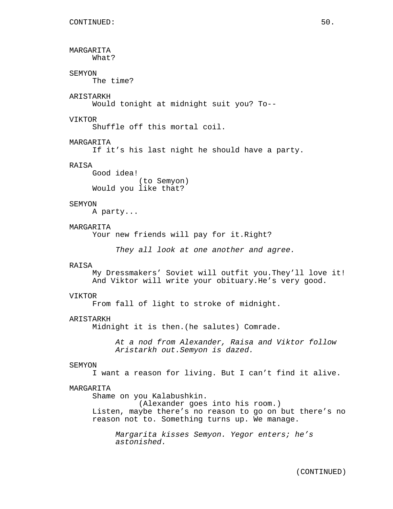```
MARGARITA
     What?
SEMYON
     The time?
ARISTARKH
     Would tonight at midnight suit you? To--
VIKTOR
     Shuffle off this mortal coil.
MARGARITA
     If it's his last night he should have a party.
RAISA
     Good idea!
               (to Semyon)
     Would you like that?
SEMYON
     A party...
MARGARITA
     Your new friends will pay for it. Right?
          They all look at one another and agree.
RAISA
     My Dressmakers' Soviet will outfit you.They'll love it!
     And Viktor will write your obituary.He's very good.
VIKTOR
     From fall of light to stroke of midnight.
ARISTARKH
     Midnight it is then.(he salutes) Comrade.
          At a nod from Alexander, Raisa and Viktor follow
          Aristarkh out.Semyon is dazed.
SEMYON
     I want a reason for living. But I can't find it alive.
MARGARITA
     Shame on you Kalabushkin.
               (Alexander goes into his room.)
     Listen, maybe there's no reason to go on but there's no
     reason not to. Something turns up. We manage.
          Margarita kisses Semyon. Yegor enters; he's
          astonished.
```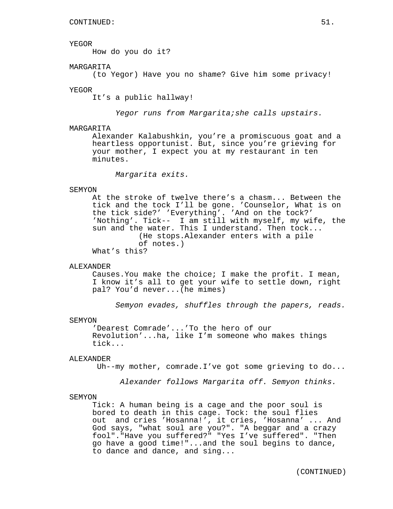#### YEGOR

How do you do it?

# MARGARITA

(to Yegor) Have you no shame? Give him some privacy!

#### YEGOR

It's a public hallway!

Yegor runs from Margarita;she calls upstairs.

## MARGARITA

Alexander Kalabushkin, you're a promiscuous goat and a heartless opportunist. But, since you're grieving for your mother, I expect you at my restaurant in ten minutes.

Margarita exits.

## SEMYON

At the stroke of twelve there's a chasm... Between the tick and the tock I'll be gone. 'Counselor, What is on the tick side?' 'Everything'. 'And on the tock?' 'Nothing'. Tick-- I am still with myself, my wife, the sun and the water. This I understand. Then tock... (He stops.Alexander enters with a pile of notes.) What's this?

#### ALEXANDER

Causes.You make the choice; I make the profit. I mean, I know it's all to get your wife to settle down, right pal? You'd never...(he mimes)

Semyon evades, shuffles through the papers, reads.

## SEMYON

'Dearest Comrade'...'To the hero of our Revolution'...ha, like I'm someone who makes things tick...

#### ALEXANDER

Uh--my mother, comrade.I've got some grieving to do...

Alexander follows Margarita off. Semyon thinks.

#### SEMYON

Tick: A human being is a cage and the poor soul is bored to death in this cage. Tock: the soul flies out and cries 'Hosanna!', it cries, 'Hosanna' ... And God says, "what soul are you?". "A beggar and a crazy fool"."Have you suffered?" "Yes I've suffered". "Then go have a good time!"...and the soul begins to dance, to dance and dance, and sing...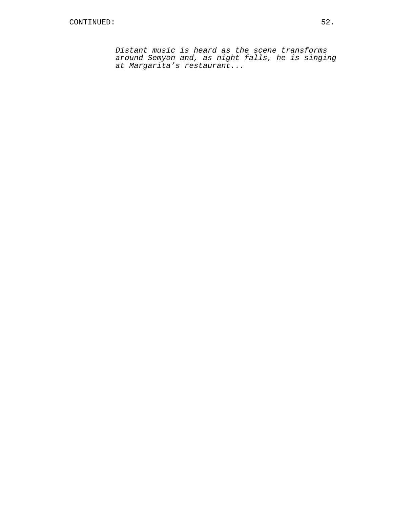Distant music is heard as the scene transforms around Semyon and, as night falls, he is singing at Margarita's restaurant...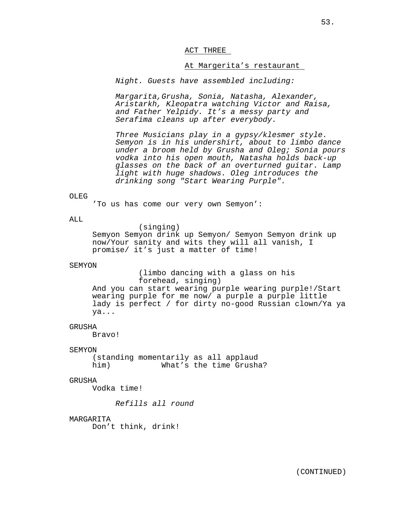## ACT THREE

## At Margerita's restaurant

Night. Guests have assembled including:

Margarita,Grusha, Sonia, Natasha, Alexander, Aristarkh, Kleopatra watching Victor and Raisa, and Father Yelpidy. It's a messy party and Serafima cleans up after everybody.

Three Musicians play in a gypsy/klesmer style. Semyon is in his undershirt, about to limbo dance under a broom held by Grusha and Oleg; Sonia pours vodka into his open mouth, Natasha holds back-up glasses on the back of an overturned guitar. Lamp light with huge shadows. Oleg introduces the drinking song "Start Wearing Purple".

# OLEG

'To us has come our very own Semyon':

## ALL.

(singing)

Semyon Semyon drink up Semyon/ Semyon Semyon drink up now/Your sanity and wits they will all vanish, I promise/ it's just a matter of time!

## SEMYON

(limbo dancing with a glass on his forehead, singing) And you can start wearing purple wearing purple!/Start wearing purple for me now/ a purple a purple little lady is perfect / for dirty no-good Russian clown/Ya ya ya...

#### GRUSHA

Bravo!

## SEMYON

(standing momentarily as all applaud him) What's the time Grusha?

## GRUSHA

Vodka time!

Refills all round

## **MARGARITA**

Don't think, drink!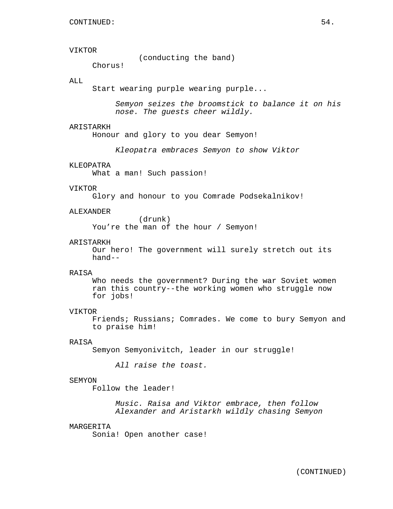# VIKTOR

(conducting the band)

Chorus!

# ALL

Start wearing purple wearing purple...

Semyon seizes the broomstick to balance it on his nose. The guests cheer wildly.

## ARISTARKH

Honour and glory to you dear Semyon!

Kleopatra embraces Semyon to show Viktor

## KLEOPATRA

What a man! Such passion!

## VIKTOR

Glory and honour to you Comrade Podsekalnikov!

#### ALEXANDER

(drunk) You're the man of the hour / Semyon!

## ARISTARKH

Our hero! The government will surely stretch out its hand--

## RAISA

Who needs the government? During the war Soviet women ran this country--the working women who struggle now for jobs!

## VIKTOR

Friends; Russians; Comrades. We come to bury Semyon and to praise him!

## RAISA

Semyon Semyonivitch, leader in our struggle!

All raise the toast.

#### SEMYON

Follow the leader!

Music. Raisa and Viktor embrace, then follow Alexander and Aristarkh wildly chasing Semyon

# MARGERITA

Sonia! Open another case!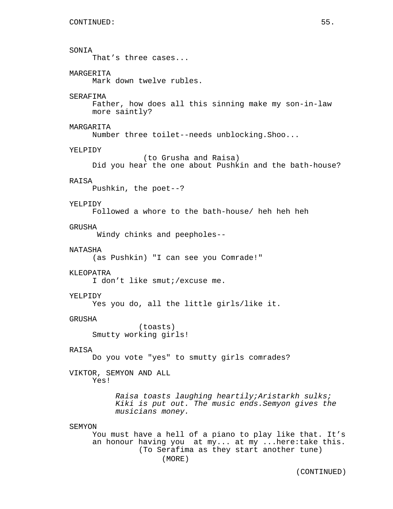```
SONIA
     That's three cases...
MARGERITA
     Mark down twelve rubles.
SERAFIMA
     Father, how does all this sinning make my son-in-law
     more saintly?
MARGARITA
     Number three toilet--needs unblocking.Shoo...
YELPIDY
                (to Grusha and Raisa)
     Did you hear the one about Pushkin and the bath-house?
RAISA
     Pushkin, the poet--?
YELPTDY
     Followed a whore to the bath-house/ heh heh heh
GRUSHA
      Windy chinks and peepholes--
NATASHA
     (as Pushkin) "I can see you Comrade!"
KLEOPATRA
     I don't like smut;/excuse me.
YELPIDY
     Yes you do, all the little girls/like it.
GRUSHA
               (toasts)
     Smutty working girls!
RAISA
     Do you vote "yes" to smutty girls comrades?
VIKTOR, SEMYON AND ALL
     Yes!
          Raisa toasts laughing heartily;Aristarkh sulks;
          Kiki is put out. The music ends.Semyon gives the
          musicians money.
SEMYON
     You must have a hell of a piano to play like that. It's
     an honour having you at my... at my ...here:take this.
               (To Serafima as they start another tune)
                    (MORE)
```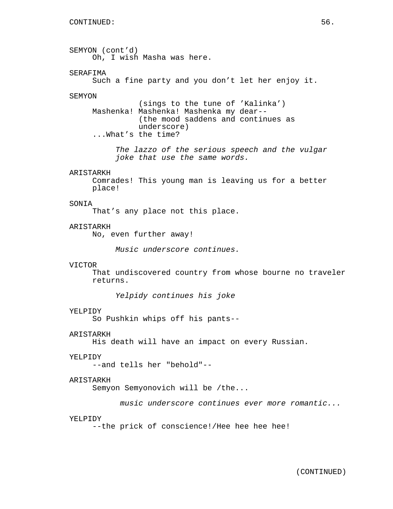SEMYON (cont'd) Oh, I wish Masha was here. SERAFIMA Such a fine party and you don't let her enjoy it. SEMYON (sings to the tune of 'Kalinka') Mashenka! Mashenka! Mashenka my dear-- (the mood saddens and continues as underscore) ...What's the time? The lazzo of the serious speech and the vulgar joke that use the same words. ARISTARKH Comrades! This young man is leaving us for a better place! SONIA That's any place not this place. ARISTARKH No, even further away! Music underscore continues. VICTOR That undiscovered country from whose bourne no traveler returns. Yelpidy continues his joke YELPIDY So Pushkin whips off his pants-- ARISTARKH His death will have an impact on every Russian. YELPIDY --and tells her "behold"-- ARISTARKH Semyon Semyonovich will be /the... music underscore continues ever more romantic... YELPIDY --the prick of conscience!/Hee hee hee hee!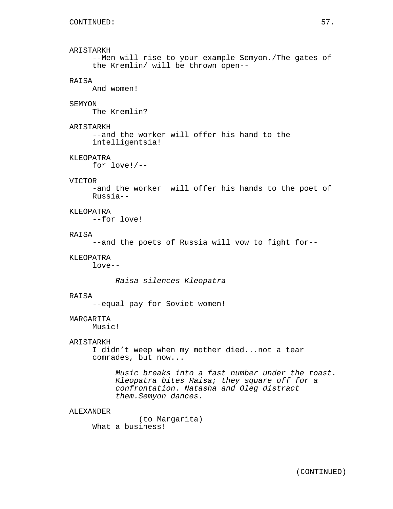# ARISTARKH --Men will rise to your example Semyon./The gates of the Kremlin/ will be thrown open-- RAISA And women! **SEMYON** The Kremlin? ARISTARKH --and the worker will offer his hand to the intelligentsia! KLEOPATRA for love!/-- VICTOR -and the worker will offer his hands to the poet of Russia-- KLEOPATRA --for love! RAISA --and the poets of Russia will vow to fight for-- KLEOPATRA love-- Raisa silences Kleopatra RAISA --equal pay for Soviet women! MARGARITA

Music!

# ARISTARKH

I didn't weep when my mother died...not a tear comrades, but now...

> Music breaks into a fast number under the toast. Kleopatra bites Raisa; they square off for a confrontation. Natasha and Oleg distract them.Semyon dances.

## ALEXANDER

(to Margarita) What a business!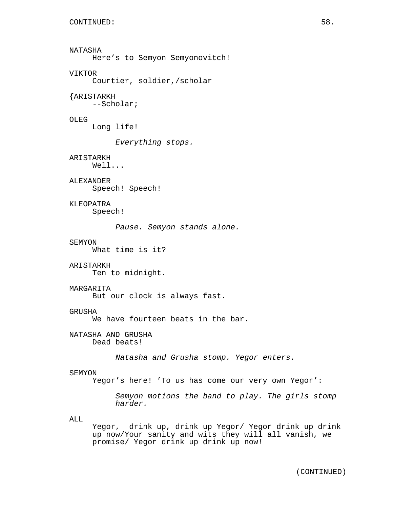NATASHA Here's to Semyon Semyonovitch! VIKTOR Courtier, soldier,/scholar {ARISTARKH --Scholar; OLEG Long life! Everything stops. ARISTARKH Well... ALEXANDER Speech! Speech! **KLEOPATRA** Speech! Pause. Semyon stands alone. SEMYON What time is it? ARISTARKH Ten to midnight. MARGARITA But our clock is always fast. GRUSHA We have fourteen beats in the bar. NATASHA AND GRUSHA Dead beats! Natasha and Grusha stomp. Yegor enters. SEMYON Yegor's here! 'To us has come our very own Yegor': Semyon motions the band to play. The girls stomp harder. ALL Yegor, drink up, drink up Yegor/ Yegor drink up drink up now/Your sanity and wits they will all vanish, we promise/ Yegor drink up drink up now!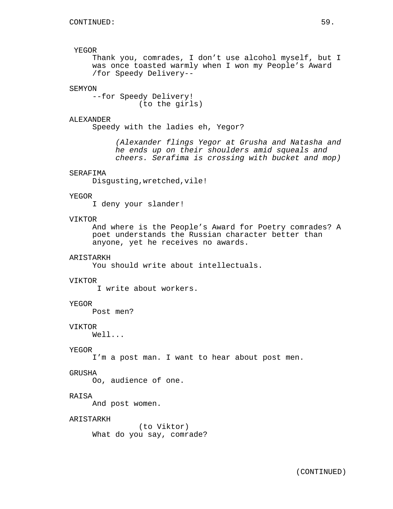# YEGOR

Thank you, comrades, I don't use alcohol myself, but I was once toasted warmly when I won my People's Award /for Speedy Delivery--

# SEMYON

--for Speedy Delivery! (to the girls)

## ALEXANDER

Speedy with the ladies eh, Yegor?

(Alexander flings Yegor at Grusha and Natasha and he ends up on their shoulders amid squeals and cheers. Serafima is crossing with bucket and mop)

# SERAFIMA

Disgusting,wretched,vile!

# YEGOR

I deny your slander!

# VIKTOR

And where is the People's Award for Poetry comrades? A poet understands the Russian character better than anyone, yet he receives no awards.

## ARISTARKH

You should write about intellectuals.

## VIKTOR

I write about workers.

#### YEGOR

Post men?

## VIKTOR

Well...

## YEGOR

I'm a post man. I want to hear about post men.

#### GRUSHA

Oo, audience of one.

# RAISA

And post women.

## ARISTARKH

(to Viktor) What do you say, comrade?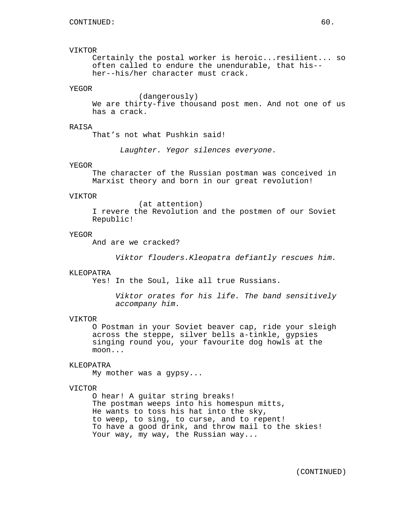# VIKTOR

Certainly the postal worker is heroic...resilient... so often called to endure the unendurable, that his- her--his/her character must crack.

# YEGOR

(dangerously) We are thirty-five thousand post men. And not one of us has a crack.

## RAISA

That's not what Pushkin said!

Laughter. Yegor silences everyone.

#### YEGOR

The character of the Russian postman was conceived in Marxist theory and born in our great revolution!

#### VIKTOR

(at attention) I revere the Revolution and the postmen of our Soviet Republic!

## YEGOR

And are we cracked?

Viktor flouders.Kleopatra defiantly rescues him.

#### KLEOPATRA

Yes! In the Soul, like all true Russians.

Viktor orates for his life. The band sensitively accompany him.

## VIKTOR

O Postman in your Soviet beaver cap, ride your sleigh across the steppe, silver bells a-tinkle, gypsies singing round you, your favourite dog howls at the moon...

# KLEOPATRA

My mother was a gypsy...

## VICTOR

O hear! A guitar string breaks! The postman weeps into his homespun mitts, He wants to toss his hat into the sky, to weep, to sing, to curse, and to repent! To have a good drink, and throw mail to the skies! Your way, my way, the Russian way...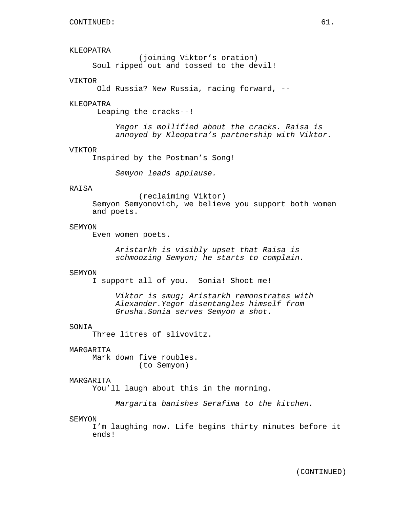# KLEOPATRA

(joining Viktor's oration) Soul ripped out and tossed to the devil!

## VIKTOR

Old Russia? New Russia, racing forward, --

#### KLEOPATRA

Leaping the cracks--!

Yegor is mollified about the cracks. Raisa is annoyed by Kleopatra's partnership with Viktor.

#### VIKTOR

Inspired by the Postman's Song!

Semyon leads applause.

# RAISA

(reclaiming Viktor) Semyon Semyonovich, we believe you support both women and poets.

## SEMYON

Even women poets.

Aristarkh is visibly upset that Raisa is schmoozing Semyon; he starts to complain.

#### SEMYON

I support all of you. Sonia! Shoot me!

Viktor is smug; Aristarkh remonstrates with Alexander.Yegor disentangles himself from Grusha.Sonia serves Semyon a shot.

#### SONIA

Three litres of slivovitz.

## **MARGARITA**

Mark down five roubles. (to Semyon)

## MARGARITA

You'll laugh about this in the morning.

Margarita banishes Serafima to the kitchen.

#### SEMYON

I'm laughing now. Life begins thirty minutes before it ends!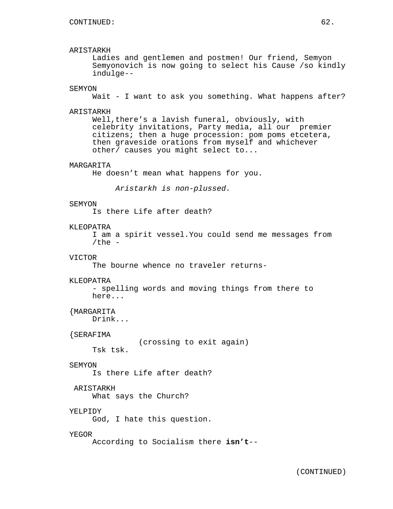# ARISTARKH

Ladies and gentlemen and postmen! Our friend, Semyon Semyonovich is now going to select his Cause /so kindly indulge--

# SEMYON

Wait - I want to ask you something. What happens after?

#### ARISTARKH

Well, there's a lavish funeral, obviously, with celebrity invitations, Party media, all our premier citizens; then a huge procession: pom poms etcetera, then graveside orations from myself and whichever other/ causes you might select to...

# MARGARITA

He doesn't mean what happens for you.

Aristarkh is non-plussed.

#### SEMYON

Is there Life after death?

# KLEOPATRA

I am a spirit vessel.You could send me messages from /the  $-$ 

# VICTOR

The bourne whence no traveler returns-

## KLEOPATRA

- spelling words and moving things from there to here...

# {MARGARITA

Drink...

#### {SERAFIMA

(crossing to exit again)

Tsk tsk.

# SEMYON

Is there Life after death?

# ARISTARKH

What says the Church?

## YELPIDY

God, I hate this question.

#### YEGOR

According to Socialism there **isn't**--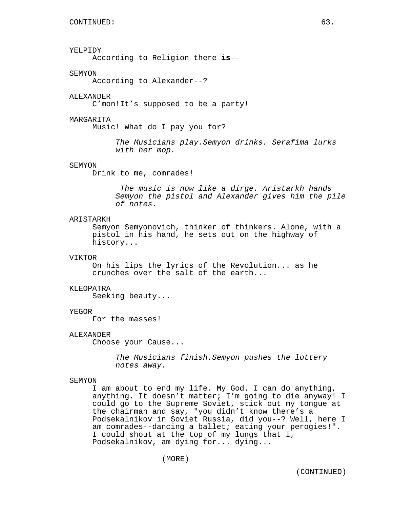# YELPIDY

According to Religion there **is**--

## **SEMYON**

According to Alexander--?

#### ALEXANDER

C'mon!It's supposed to be a party!

#### MARGARITA

Music! What do I pay you for?

The Musicians play.Semyon drinks. Serafima lurks with her mop.

# SEMYON

Drink to me, comrades!

The music is now like a dirge. Aristarkh hands Semyon the pistol and Alexander gives him the pile of notes.

# ARISTARKH

Semyon Semyonovich, thinker of thinkers. Alone, with a pistol in his hand, he sets out on the highway of history...

# VIKTOR

On his lips the lyrics of the Revolution... as he crunches over the salt of the earth...

#### KLEOPATRA

Seeking beauty...

# YEGOR

For the masses!

#### ALEXANDER

Choose your Cause...

The Musicians finish.Semyon pushes the lottery notes away.

#### SEMYON

I am about to end my life. My God. I can do anything, anything. It doesn't matter; I'm going to die anyway! I could go to the Supreme Soviet, stick out my tongue at the chairman and say, "you didn't know there's a Podsekalnikov in Soviet Russia, did you--? Well, here I am comrades--dancing a ballet; eating your perogies!". I could shout at the top of my lungs that I, Podsekalnikov, am dying for... dying...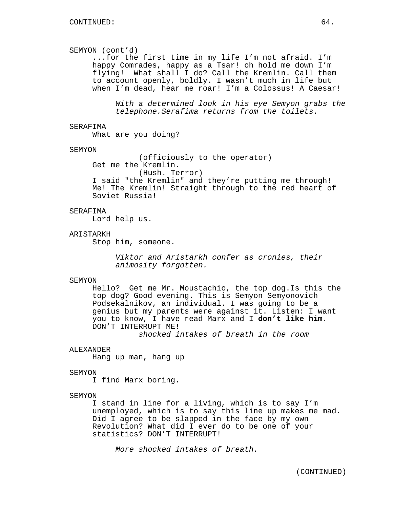# SEMYON (cont'd)

...for the first time in my life I'm not afraid. I'm happy Comrades, happy as a Tsar! oh hold me down I'm flying! What shall I do? Call the Kremlin. Call them to account openly, boldly. I wasn't much in life but when I'm dead, hear me roar! I'm a Colossus! A Caesar!

With a determined look in his eye Semyon grabs the telephone.Serafima returns from the toilets.

## SERAFIMA

What are you doing?

## **SEMYON**

(officiously to the operator) Get me the Kremlin.

(Hush. Terror)

I said "the Kremlin" and they're putting me through! Me! The Kremlin! Straight through to the red heart of Soviet Russia!

## SERAFIMA

Lord help us.

# ARISTARKH

Stop him, someone.

Viktor and Aristarkh confer as cronies, their animosity forgotten.

#### SEMYON

Hello? Get me Mr. Moustachio, the top dog.Is this the top dog? Good evening. This is Semyon Semyonovich Podsekalnikov, an individual. I was going to be a genius but my parents were against it. Listen: I want you to know, I have read Marx and I **don't like him**. DON'T INTERRUPT ME!

shocked intakes of breath in the room

## ALEXANDER

Hang up man, hang up

## SEMYON

I find Marx boring.

# **SEMYON**

I stand in line for a living, which is to say I'm unemployed, which is to say this line up makes me mad. Did I agree to be slapped in the face by my own Revolution? What did I ever do to be one of your statistics? DON'T INTERRUPT!

More shocked intakes of breath.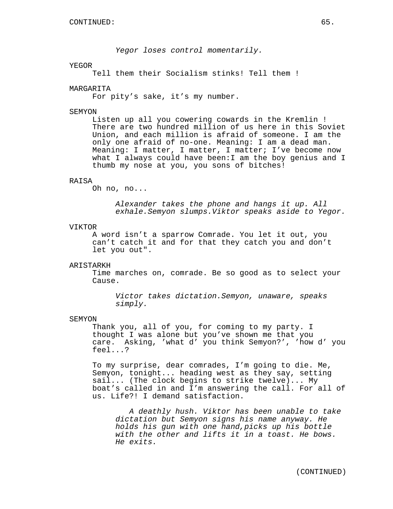Yegor loses control momentarily.

#### YEGOR

Tell them their Socialism stinks! Tell them !

## MARGARITA

For pity's sake, it's my number.

#### SEMYON

Listen up all you cowering cowards in the Kremlin ! There are two hundred million of us here in this Soviet Union, and each million is afraid of someone. I am the only one afraid of no-one. Meaning: I am a dead man. Meaning: I matter, I matter, I matter; I've become now what I always could have been:I am the boy genius and I thumb my nose at you, you sons of bitches!

## RAISA

Oh no, no...

Alexander takes the phone and hangs it up. All exhale.Semyon slumps.Viktor speaks aside to Yegor.

#### VIKTOR

A word isn't a sparrow Comrade. You let it out, you can't catch it and for that they catch you and don't let you out".

#### ARISTARKH

Time marches on, comrade. Be so good as to select your Cause.

Victor takes dictation.Semyon, unaware, speaks simply.

## SEMYON

Thank you, all of you, for coming to my party. I thought I was alone but you've shown me that you care. Asking, 'what d' you think Semyon?', 'how d' you feel...?

To my surprise, dear comrades, I'm going to die. Me, Semyon, tonight... heading west as they say, setting sail... (The clock begins to strike twelve)... My boat's called in and I'm answering the call. For all of us. Life?! I demand satisfaction.

A deathly hush. Viktor has been unable to take dictation but Semyon signs his name anyway. He holds his gun with one hand,picks up his bottle with the other and lifts it in a toast. He bows. He exits.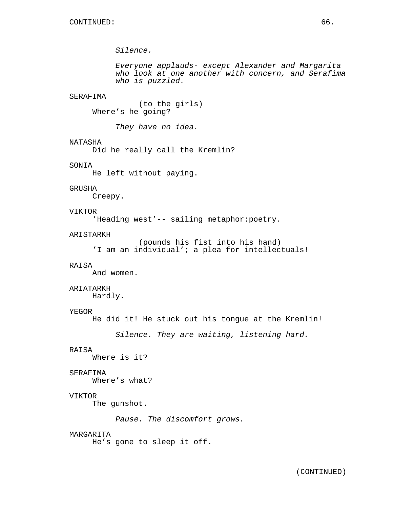Silence.

Everyone applauds- except Alexander and Margarita who look at one another with concern, and Serafima who is puzzled.

## SERAFIMA

(to the girls) Where's he going?

They have no idea.

# NATASHA

Did he really call the Kremlin?

# SONIA

He left without paying.

# GRUSHA

Creepy.

# VIKTOR

'Heading west'-- sailing metaphor:poetry.

## ARISTARKH

```
(pounds his fist into his hand)
'I am an individual'; a plea for intellectuals!
```
## RAISA

And women.

# ARIATARKH

Hardly.

## YEGOR

He did it! He stuck out his tongue at the Kremlin!

Silence. They are waiting, listening hard.

## RAISA

Where is it?

#### SERAFIMA

Where's what?

# VIKTOR

The gunshot.

Pause. The discomfort grows.

#### MARGARITA

He's gone to sleep it off.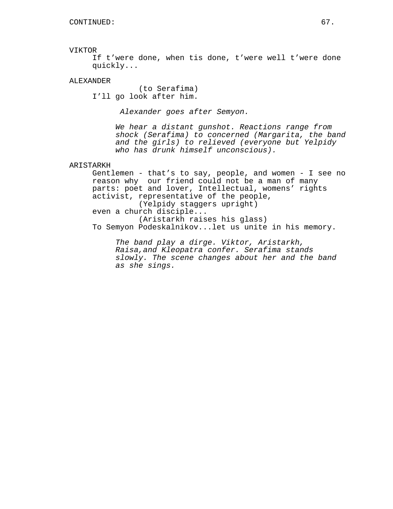#### VIKTOR

If t'were done, when tis done, t'were well t'were done quickly...

# ALEXANDER

(to Serafima) I'll go look after him.

Alexander goes after Semyon.

We hear a distant gunshot. Reactions range from shock (Serafima) to concerned (Margarita, the band and the girls) to relieved (everyone but Yelpidy who has drunk himself unconscious).

## ARISTARKH

Gentlemen - that's to say, people, and women - I see no reason why our friend could not be a man of many parts: poet and lover, Intellectual, womens' rights activist, representative of the people, (Yelpidy staggers upright) even a church disciple... (Aristarkh raises his glass) To Semyon Podeskalnikov...let us unite in his memory.

The band play a dirge. Viktor, Aristarkh, Raisa,and Kleopatra confer. Serafima stands slowly. The scene changes about her and the band as she sings.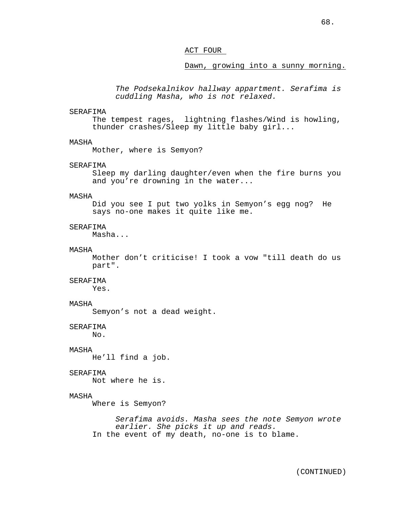## ACT FOUR

## Dawn, growing into a sunny morning.

The Podsekalnikov hallway appartment. Serafima is cuddling Masha, who is not relaxed.

#### SERAFIMA

The tempest rages, lightning flashes/Wind is howling, thunder crashes/Sleep my little baby girl...

## MASHA

Mother, where is Semyon?

## SERAFIMA

Sleep my darling daughter/even when the fire burns you and you're drowning in the water...

## MASHA

Did you see I put two yolks in Semyon's egg nog? He says no-one makes it quite like me.

## SERAFIMA

Masha...

#### MASHA

Mother don't criticise! I took a vow "till death do us part".

## SERAFIMA

Yes.

# MASHA

Semyon's not a dead weight.

## SERAFIMA

 $No.$ 

## MASHA

He'll find a job.

## SERAFIMA

Not where he is.

# MASHA

Where is Semyon?

Serafima avoids. Masha sees the note Semyon wrote earlier. She picks it up and reads. In the event of my death, no-one is to blame.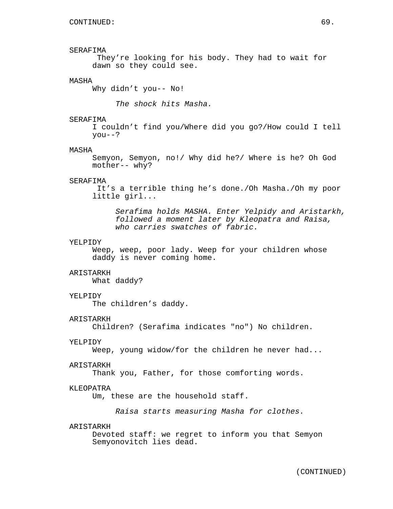# SERAFIMA

They're looking for his body. They had to wait for dawn so they could see.

## MASHA

Why didn't you-- No!

The shock hits Masha.

## SERAFIMA

I couldn't find you/Where did you go?/How could I tell you--?

#### MASHA

Semyon, Semyon, no!/ Why did he?/ Where is he? Oh God mother-- why?

## SERAFIMA

It's a terrible thing he's done./Oh Masha./Oh my poor little girl...

Serafima holds MASHA. Enter Yelpidy and Aristarkh, followed a moment later by Kleopatra and Raisa, who carries swatches of fabric.

#### YELPIDY

Weep, weep, poor lady. Weep for your children whose daddy is never coming home.

## ARISTARKH

What daddy?

#### YELPIDY

The children's daddy.

#### ARISTARKH

Children? (Serafima indicates "no") No children.

## YELPIDY

Weep, young widow/for the children he never had...

#### ARISTARKH

Thank you, Father, for those comforting words.

# KLEOPATRA

Um, these are the household staff.

Raisa starts measuring Masha for clothes.

## ARISTARKH

Devoted staff: we regret to inform you that Semyon Semyonovitch lies dead.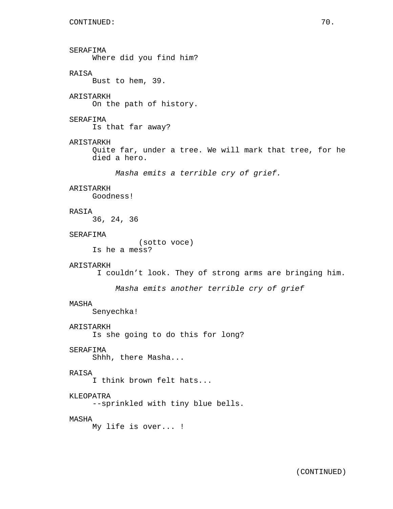SERAFIMA Where did you find him? RAISA Bust to hem, 39. ARISTARKH On the path of history. SERAFIMA Is that far away? ARISTARKH Quite far, under a tree. We will mark that tree, for he died a hero. Masha emits a terrible cry of grief. ARISTARKH Goodness! RASIA 36, 24, 36 SERAFIMA (sotto voce) Is he a mess? ARISTARKH I couldn't look. They of strong arms are bringing him. Masha emits another terrible cry of grief MASHA Senyechka! ARISTARKH Is she going to do this for long? SERAFIMA Shhh, there Masha... RAISA I think brown felt hats... KLEOPATRA --sprinkled with tiny blue bells. MASHA My life is over... !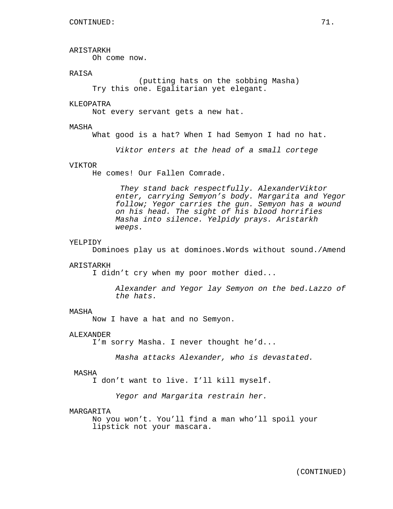# ARISTARKH

Oh come now.

# **RAISA**

(putting hats on the sobbing Masha) Try this one. Egalitarian yet elegant.

# KLEOPATRA

Not every servant gets a new hat.

## MASHA

What good is a hat? When I had Semyon I had no hat.

Viktor enters at the head of a small cortege

## VIKTOR

He comes! Our Fallen Comrade.

They stand back respectfully. AlexanderViktor enter, carrying Semyon's body. Margarita and Yegor follow; Yegor carries the gun. Semyon has a wound on his head. The sight of his blood horrifies Masha into silence. Yelpidy prays. Aristarkh weeps.

#### YELPIDY

Dominoes play us at dominoes.Words without sound./Amend

#### ARISTARKH

I didn't cry when my poor mother died...

Alexander and Yegor lay Semyon on the bed.Lazzo of the hats.

#### MASHA

Now I have a hat and no Semyon.

#### ALEXANDER

I'm sorry Masha. I never thought he'd...

Masha attacks Alexander, who is devastated.

#### MASHA

I don't want to live. I'll kill myself.

Yegor and Margarita restrain her.

## MARGARITA

No you won't. You'll find a man who'll spoil your lipstick not your mascara.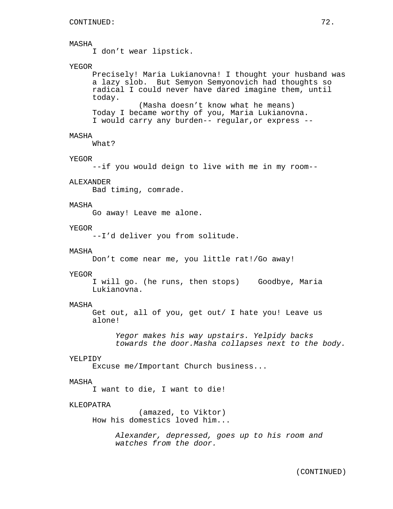I don't wear lipstick.

## YEGOR

Precisely! Maria Lukianovna! I thought your husband was a lazy slob. But Semyon Semyonovich had thoughts so radical I could never have dared imagine them, until today. (Masha doesn't know what he means) Today I became worthy of you, Maria Lukianovna. I would carry any burden-- regular,or express --

## MASHA

What?

### YEGOR

--if you would deign to live with me in my room--

#### ALEXANDER

Bad timing, comrade.

## MASHA

Go away! Leave me alone.

#### YEGOR

--I'd deliver you from solitude.

## MASHA

Don't come near me, you little rat!/Go away!

#### YEGOR

I will go. (he runs, then stops) Goodbye, Maria Lukianovna.

#### MASHA

Get out, all of you, get out/ I hate you! Leave us alone!

Yegor makes his way upstairs. Yelpidy backs towards the door.Masha collapses next to the body.

### YELPIDY

Excuse me/Important Church business...

#### MASHA

I want to die, I want to die!

#### KLEOPATRA

(amazed, to Viktor) How his domestics loved him...

> Alexander, depressed, goes up to his room and watches from the door.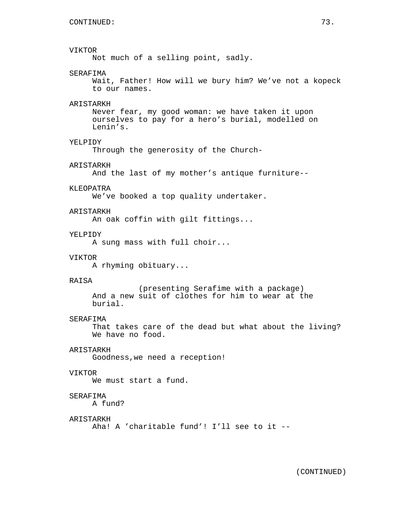## VIKTOR

Not much of a selling point, sadly.

## SERAFIMA

Wait, Father! How will we bury him? We've not a kopeck to our names.

### **ARISTARKH**

Never fear, my good woman: we have taken it upon ourselves to pay for a hero's burial, modelled on Lenin's.

## YELPIDY

Through the generosity of the Church-

## ARISTARKH

And the last of my mother's antique furniture--

#### KLEOPATRA

We've booked a top quality undertaker.

## ARISTARKH

An oak coffin with gilt fittings...

## YELPTDY

A sung mass with full choir...

## VIKTOR

A rhyming obituary...

### RAISA

(presenting Serafime with a package) And a new suit of clothes for him to wear at the burial.

### SERAFIMA

That takes care of the dead but what about the living? We have no food.

## ARISTARKH

Goodness,we need a reception!

## VIKTOR

We must start a fund.

## SERAFIMA

A fund?

#### ARISTARKH

Aha! A 'charitable fund'! I'll see to it --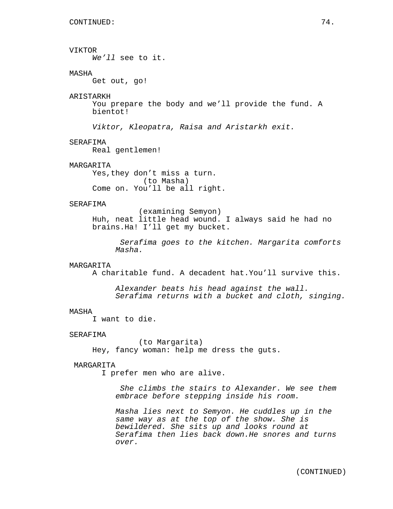VIKTOR We'll see to it. MASHA Get out, go! ARISTARKH You prepare the body and we'll provide the fund. A bientot! Viktor, Kleopatra, Raisa and Aristarkh exit. SERAFIMA Real gentlemen! **MARGARITA** Yes,they don't miss a turn. (to Masha) Come on. You'll be all right. SERAFIMA (examining Semyon) Huh, neat little head wound. I always said he had no brains.Ha! I'll get my bucket. Serafima goes to the kitchen. Margarita comforts Masha. MARGARITA A charitable fund. A decadent hat.You'll survive this. Alexander beats his head against the wall. Serafima returns with a bucket and cloth, singing. MASHA I want to die. SERAFIMA (to Margarita) Hey, fancy woman: help me dress the guts. MARGARITA I prefer men who are alive. She climbs the stairs to Alexander. We see them embrace before stepping inside his room. Masha lies next to Semyon. He cuddles up in the same way as at the top of the show. She is bewildered. She sits up and looks round at Serafima then lies back down.He snores and turns over.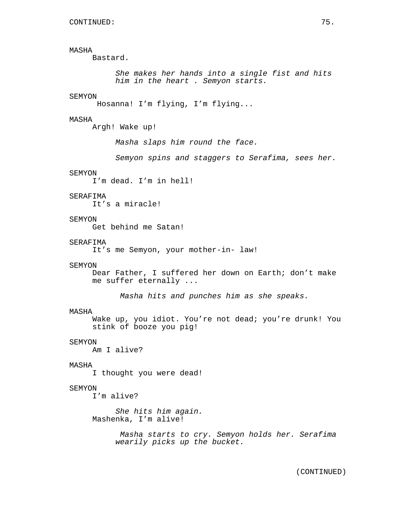Bastard.

She makes her hands into a single fist and hits him in the heart . Semyon starts.

#### SEMYON

Hosanna! I'm flying, I'm flying...

## MASHA

Argh! Wake up!

Masha slaps him round the face.

Semyon spins and staggers to Serafima, sees her.

### SEMYON

I'm dead. I'm in hell!

## SERAFIMA

It's a miracle!

## **SEMYON**

Get behind me Satan!

#### SERAFIMA

It's me Semyon, your mother-in- law!

#### SEMYON

Dear Father, I suffered her down on Earth; don't make me suffer eternally ...

Masha hits and punches him as she speaks.

### MASHA

Wake up, you idiot. You're not dead; you're drunk! You stink of booze you pig!

### SEMYON

Am I alive?

#### MASHA

I thought you were dead!

## SEMYON

I'm alive?

She hits him again. Mashenka, I'm alive!

> Masha starts to cry. Semyon holds her. Serafima wearily picks up the bucket.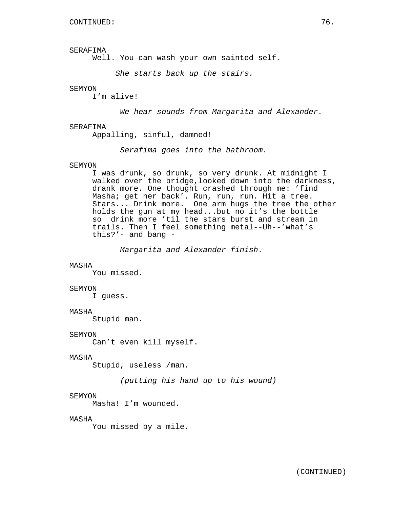SERAFIMA

Well. You can wash your own sainted self.

She starts back up the stairs.

### SEMYON

I'm alive!

We hear sounds from Margarita and Alexander.

#### SERAFIMA

Appalling, sinful, damned!

Serafima goes into the bathroom.

#### SEMYON

I was drunk, so drunk, so very drunk. At midnight I walked over the bridge,looked down into the darkness, drank more. One thought crashed through me: 'find Masha; get her back'. Run, run, run. Hit a tree. Stars... Drink more. One arm hugs the tree the other holds the gun at my head...but no it's the bottle so drink more 'til the stars burst and stream in trails. Then I feel something metal--Uh--'what's this?'- and bang -

Margarita and Alexander finish.

## MASHA

You missed.

#### SEMYON

I guess.

## MASHA

Stupid man.

#### SEMYON

Can't even kill myself.

## MASHA

Stupid, useless /man.

(putting his hand up to his wound)

## SEMYON

Masha! I'm wounded.

### MASHA

You missed by a mile.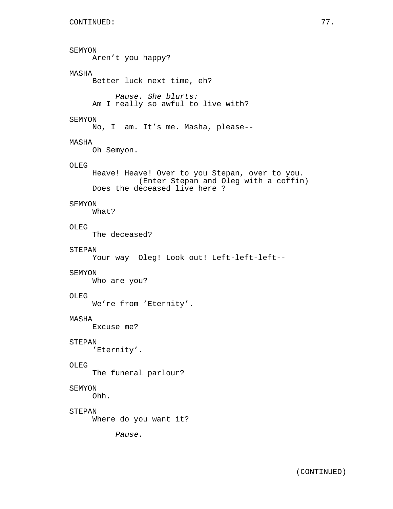```
SEMYON
     Aren't you happy?
MASHA
     Better luck next time, eh?
          Pause. She blurts:
     Am I really so awful to live with?
SEMYON
     No, I am. It's me. Masha, please--
MASHA
     Oh Semyon.
OLEG
     Heave! Heave! Over to you Stepan, over to you.
               (Enter Stepan and Oleg with a coffin)
     Does the deceased live here ?
SEMYON
     What?
OLEG
     The deceased?
STEPAN
     Your way Oleg! Look out! Left-left-left--
SEMYON
     Who are you?
OLEG
     We're from 'Eternity'.
MASHA
     Excuse me?
STEPAN
     'Eternity'.
OLEG
     The funeral parlour?
SEMYON
     Ohh.
STEPAN
     Where do you want it?
          Pause.
```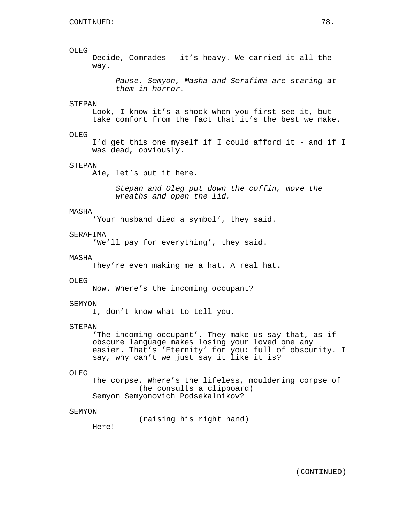## OLEG

Decide, Comrades-- it's heavy. We carried it all the way.

Pause. Semyon, Masha and Serafima are staring at them in horror.

## **STEPAN**

Look, I know it's a shock when you first see it, but take comfort from the fact that it's the best we make.

## OLEG

I'd get this one myself if I could afford it - and if I was dead, obviously.

## STEPAN

Aie, let's put it here.

Stepan and Oleg put down the coffin, move the wreaths and open the lid.

#### MASHA

'Your husband died a symbol', they said.

## SERAFIMA

'We'll pay for everything', they said.

## MASHA

They're even making me a hat. A real hat.

#### OLEG<sup>1</sup>

Now. Where's the incoming occupant?

### SEMYON

I, don't know what to tell you.

#### STEPAN

'The incoming occupant'. They make us say that, as if obscure language makes losing your loved one any easier. That's 'Eternity' for you: full of obscurity. I say, why can't we just say it like it is?

#### OLEG

The corpse. Where's the lifeless, mouldering corpse of (he consults a clipboard) Semyon Semyonovich Podsekalnikov?

### SEMYON

(raising his right hand)

Here!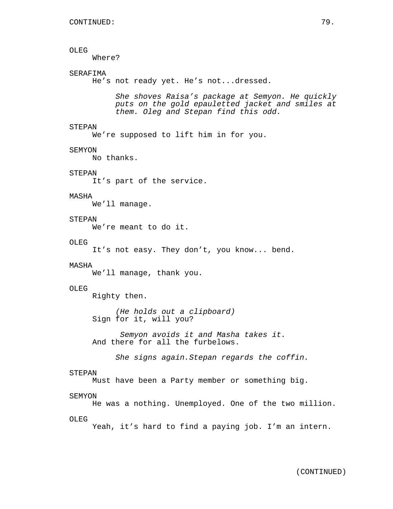## OLEG

Where?

## SERAFIMA

He's not ready yet. He's not...dressed.

She shoves Raisa's package at Semyon. He quickly puts on the gold epauletted jacket and smiles at them. Oleg and Stepan find this odd.

## STEPAN

We're supposed to lift him in for you.

#### SEMYON

No thanks.

## STEPAN

It's part of the service.

### MASHA

We'll manage.

## **STEPAN**

We're meant to do it.

#### OLEG

It's not easy. They don't, you know... bend.

#### MASHA

We'll manage, thank you.

#### OLEG

Righty then.

(He holds out a clipboard) Sign for it, will you?

Semyon avoids it and Masha takes it. And there for all the furbelows.

She signs again.Stepan regards the coffin.

#### STEPAN

Must have been a Party member or something big.

### SEMYON

He was a nothing. Unemployed. One of the two million.

#### OLEG

Yeah, it's hard to find a paying job. I'm an intern.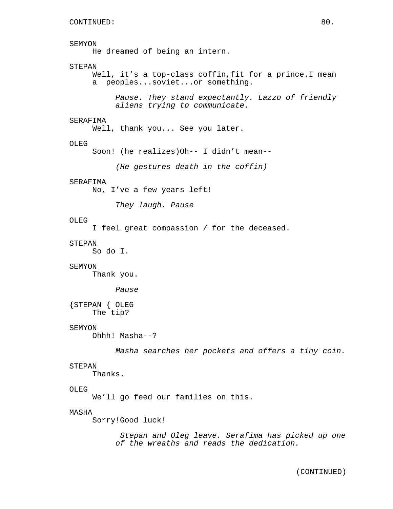# SEMYON

He dreamed of being an intern.

## STEPAN

Well, it's a top-class coffin, fit for a prince. I mean a peoples...soviet...or something.

Pause. They stand expectantly. Lazzo of friendly aliens trying to communicate.

## SERAFIMA

Well, thank you... See you later.

## OLEG

Soon! (he realizes)Oh-- I didn't mean--

(He gestures death in the coffin)

## SERAFIMA

No, I've a few years left!

They laugh. Pause

## OLEG

I feel great compassion / for the deceased.

## STEPAN

So do I.

## SEMYON

Thank you.

## Pause

{STEPAN { OLEG The tip?

## SEMYON

Ohhh! Masha--?

Masha searches her pockets and offers a tiny coin.

#### STEPAN

Thanks.

## OLEG

We'll go feed our families on this.

## MASHA

Sorry!Good luck!

Stepan and Oleg leave. Serafima has picked up one of the wreaths and reads the dedication.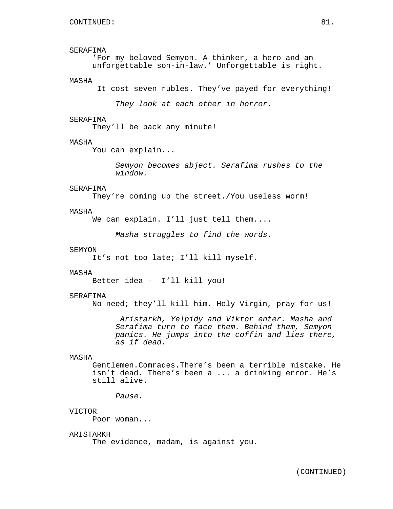## SERAFIMA

'For my beloved Semyon. A thinker, a hero and an unforgettable son-in-law.' Unforgettable is right.

### MASHA

It cost seven rubles. They've payed for everything!

They look at each other in horror.

## SERAFIMA

They'll be back any minute!

## MASHA

You can explain...

Semyon becomes abject. Serafima rushes to the window.

## SERAFIMA

They're coming up the street./You useless worm!

## MASHA

We can explain. I'll just tell them....

Masha struggles to find the words.

### SEMYON

It's not too late; I'll kill myself.

### MASHA

Better idea - I'll kill you!

#### SERAFIMA

No need; they'll kill him. Holy Virgin, pray for us!

Aristarkh, Yelpidy and Viktor enter. Masha and Serafima turn to face them. Behind them, Semyon panics. He jumps into the coffin and lies there, as if dead.

## MASHA

Gentlemen.Comrades.There's been a terrible mistake. He isn't dead. There's been a ... a drinking error. He's still alive.

Pause.

#### VICTOR

Poor woman...

## ARISTARKH

The evidence, madam, is against you.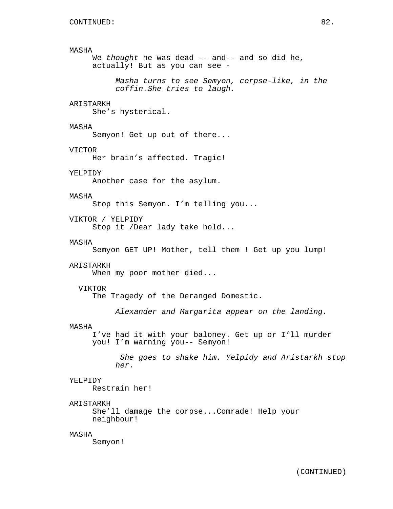We thought he was dead -- and-- and so did he, actually! But as you can see -

Masha turns to see Semyon, corpse-like, in the coffin.She tries to laugh.

## ARISTARKH

She's hysterical.

## MASHA

Semyon! Get up out of there...

#### VICTOR

Her brain's affected. Tragic!

## YELPIDY

Another case for the asylum.

## MASHA

Stop this Semyon. I'm telling you...

## VIKTOR / YELPIDY

Stop it /Dear lady take hold...

#### MASHA

Semyon GET UP! Mother, tell them ! Get up you lump!

#### ARISTARKH

When my poor mother died...

#### VIKTOR

The Tragedy of the Deranged Domestic.

Alexander and Margarita appear on the landing.

#### MASHA

I've had it with your baloney. Get up or I'll murder you! I'm warning you-- Semyon!

She goes to shake him. Yelpidy and Aristarkh stop her.

#### YELPIDY

Restrain her!

### ARISTARKH

She'll damage the corpse...Comrade! Help your neighbour!

## MASHA

Semyon!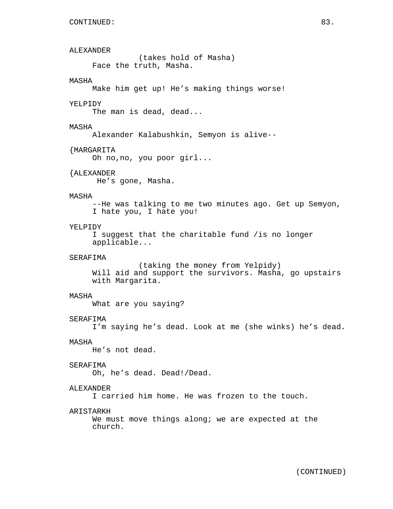ALEXANDER

(takes hold of Masha) Face the truth, Masha.

## MASHA

Make him get up! He's making things worse!

### YELPIDY

The man is dead, dead...

### MASHA

Alexander Kalabushkin, Semyon is alive--

#### {MARGARITA

Oh no,no, you poor girl...

## {ALEXANDER

He's gone, Masha.

## MASHA

--He was talking to me two minutes ago. Get up Semyon, I hate you, I hate you!

## YELPIDY

I suggest that the charitable fund /is no longer applicable...

## SERAFIMA

(taking the money from Yelpidy) Will aid and support the survivors. Masha, go upstairs with Margarita.

### MASHA

What are you saying?

#### SERAFIMA

I'm saying he's dead. Look at me (she winks) he's dead.

### MASHA

He's not dead.

## SERAFIMA

Oh, he's dead. Dead!/Dead.

## ALEXANDER

I carried him home. He was frozen to the touch.

## ARISTARKH

We must move things along; we are expected at the church.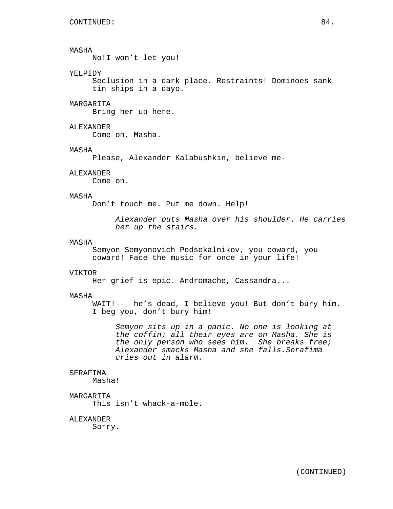No!I won't let you!

## YELPIDY

Seclusion in a dark place. Restraints! Dominoes sank tin ships in a dayo.

## MARGARITA

Bring her up here.

## ALEXANDER

Come on, Masha.

### MASHA

Please, Alexander Kalabushkin, believe me-

#### ALEXANDER

Come on.

### MASHA

Don't touch me. Put me down. Help!

Alexander puts Masha over his shoulder. He carries her up the stairs.

#### MASHA

Semyon Semyonovich Podsekalnikov, you coward, you coward! Face the music for once in your life!

#### VIKTOR

Her grief is epic. Andromache, Cassandra...

## MASHA

WAIT!-- he's dead, I believe you! But don't bury him. I beg you, don't bury him!

Semyon sits up in a panic. No one is looking at the coffin; all their eyes are on Masha. She is the only person who sees him. She breaks free; Alexander smacks Masha and she falls.Serafima cries out in alarm.

### SERAFIMA

Masha!

## MARGARITA

This isn't whack-a-mole.

### ALEXANDER

Sorry.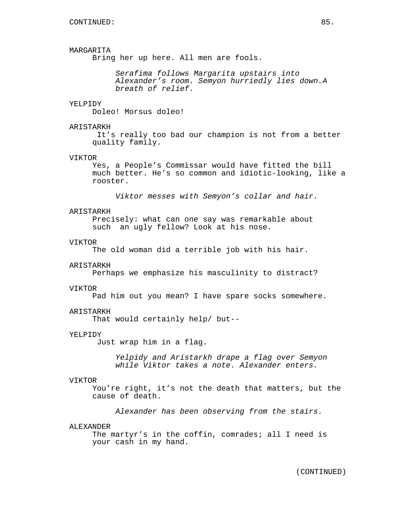## MARGARITA

Bring her up here. All men are fools.

Serafima follows Margarita upstairs into Alexander's room. Semyon hurriedly lies down.A breath of relief.

#### YELPIDY

Doleo! Morsus doleo!

## ARISTARKH

It's really too bad our champion is not from a better quality family.

### VIKTOR

Yes, a People's Commissar would have fitted the bill much better. He's so common and idiotic-looking, like a rooster.

Viktor messes with Semyon's collar and hair.

## ARISTARKH

Precisely: what can one say was remarkable about such an ugly fellow? Look at his nose.

#### VIKTOR

The old woman did a terrible job with his hair.

#### ARISTARKH

Perhaps we emphasize his masculinity to distract?

#### VIKTOR

Pad him out you mean? I have spare socks somewhere.

#### ARISTARKH

That would certainly help/ but--

### YELPIDY

Just wrap him in a flag.

Yelpidy and Aristarkh drape a flag over Semyon while Viktor takes a note. Alexander enters.

#### VIKTOR

You're right, it's not the death that matters, but the cause of death.

Alexander has been observing from the stairs.

### ALEXANDER

The martyr's in the coffin, comrades; all I need is your cash in my hand.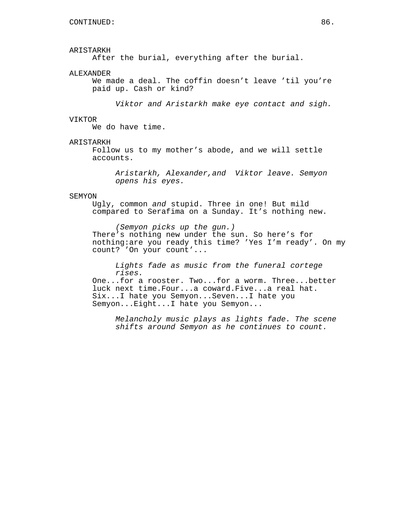#### ARISTARKH

After the burial, everything after the burial.

### ALEXANDER

We made a deal. The coffin doesn't leave 'til you're paid up. Cash or kind?

Viktor and Aristarkh make eye contact and sigh.

### VIKTOR

We do have time.

## ARISTARKH

Follow us to my mother's abode, and we will settle accounts.

Aristarkh, Alexander,and Viktor leave. Semyon opens his eyes.

#### SEMYON

Ugly, common and stupid. Three in one! But mild compared to Serafima on a Sunday. It's nothing new.

(Semyon picks up the gun.) There's nothing new under the sun. So here's for nothing:are you ready this time? 'Yes I'm ready'. On my count? 'On your count'...

Lights fade as music from the funeral cortege rises.

One...for a rooster. Two...for a worm. Three...better luck next time.Four...a coward.Five...a real hat. Six...I hate you Semyon...Seven...I hate you Semyon...Eight...I hate you Semyon...

Melancholy music plays as lights fade. The scene shifts around Semyon as he continues to count.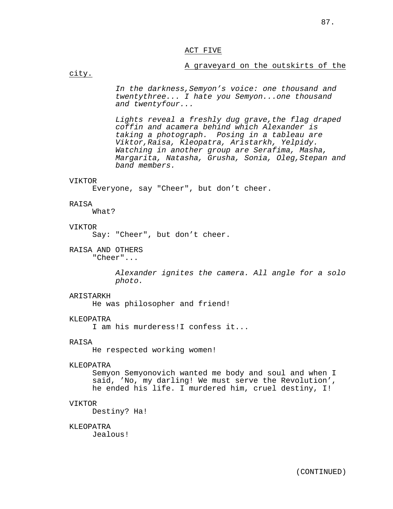## ACT FIVE

## A graveyard on the outskirts of the

city.

In the darkness,Semyon's voice: one thousand and twentythree... I hate you Semyon...one thousand and twentyfour...

Lights reveal a freshly dug grave,the flag draped coffin and acamera behind which Alexander is taking a photograph. Posing in a tableau are Viktor,Raisa, Kleopatra, Aristarkh, Yelpidy. Watching in another group are Serafima, Masha, Margarita, Natasha, Grusha, Sonia, Oleg,Stepan and band members.

### VIKTOR

Everyone, say "Cheer", but don't cheer.

#### RAISA

What?

#### VIKTOR

Say: "Cheer", but don't cheer.

RAISA AND OTHERS

"Cheer"...

Alexander ignites the camera. All angle for a solo photo.

#### ARISTARKH

He was philosopher and friend!

#### KLEOPATRA

I am his murderess!I confess it...

### RAISA

He respected working women!

## KLEOPATRA

Semyon Semyonovich wanted me body and soul and when I said, 'No, my darling! We must serve the Revolution', he ended his life. I murdered him, cruel destiny, I!

#### VIKTOR

Destiny? Ha!

#### KLEOPATRA

Jealous!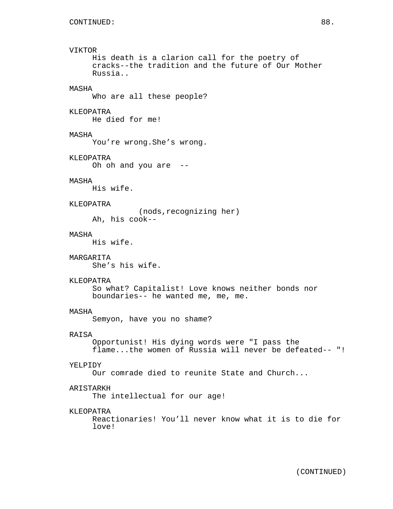# VIKTOR

His death is a clarion call for the poetry of cracks--the tradition and the future of Our Mother Russia..

## MASHA

Who are all these people?

## KLEOPATRA

He died for me!

## MASHA

You're wrong.She's wrong.

## KLEOPATRA

Oh oh and you are --

## MASHA

His wife.

## KLEOPATRA

(nods,recognizing her) Ah, his cook--

## MASHA

His wife.

### MARGARITA

She's his wife.

### KLEOPATRA

So what? Capitalist! Love knows neither bonds nor boundaries-- he wanted me, me, me.

## MASHA

Semyon, have you no shame?

### RAISA

Opportunist! His dying words were "I pass the flame...the women of Russia will never be defeated-- "!

## YELPIDY

Our comrade died to reunite State and Church...

## ARISTARKH

The intellectual for our age!

## KLEOPATRA

Reactionaries! You'll never know what it is to die for love!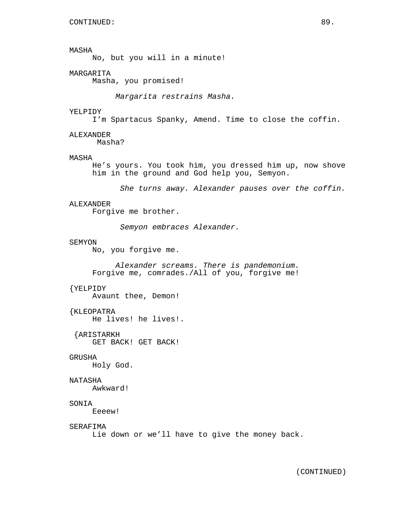No, but you will in a minute!

## MARGARITA

Masha, you promised!

Margarita restrains Masha.

#### YELPIDY

I'm Spartacus Spanky, Amend. Time to close the coffin.

#### ALEXANDER

Masha?

#### MASHA

He's yours. You took him, you dressed him up, now shove him in the ground and God help you, Semyon.

She turns away. Alexander pauses over the coffin.

## ALEXANDER

Forgive me brother.

Semyon embraces Alexander.

#### SEMYON

No, you forgive me.

Alexander screams. There is pandemonium. Forgive me, comrades./All of you, forgive me!

## {YELPIDY

Avaunt thee, Demon!

## {KLEOPATRA

He lives! he lives!.

{ARISTARKH GET BACK! GET BACK!

## GRUSHA

Holy God.

#### NATASHA

Awkward!

#### SONIA

Eeeew!

### SERAFIMA

Lie down or we'll have to give the money back.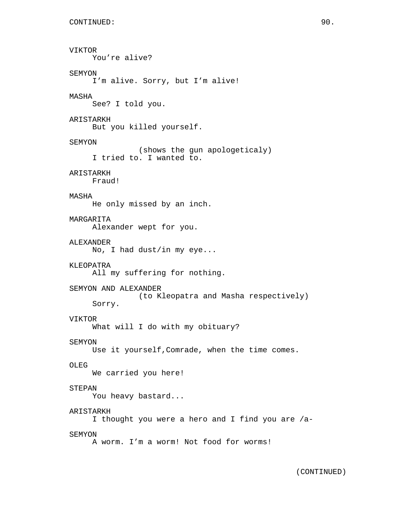```
VIKTOR
     You're alive?
SEMYON
     I'm alive. Sorry, but I'm alive!
MASHA
     See? I told you.
ARISTARKH
     But you killed yourself.
SEMYON
               (shows the gun apologeticaly)
     I tried to. I wanted to.
ARISTARKH
     Fraud!
MASHA
     He only missed by an inch.
MARGARITA
     Alexander wept for you.
ALEXANDER
     No, I had dust/in my eye...
KLEOPATRA
     All my suffering for nothing.
SEMYON AND ALEXANDER
               (to Kleopatra and Masha respectively)
     Sorry.
VIKTOR
     What will I do with my obituary?
SEMYON
     Use it yourself,Comrade, when the time comes.
OLEG
     We carried you here!
STEPAN
     You heavy bastard...
ARISTARKH
     I thought you were a hero and I find you are /a-
SEMYON
     A worm. I'm a worm! Not food for worms!
```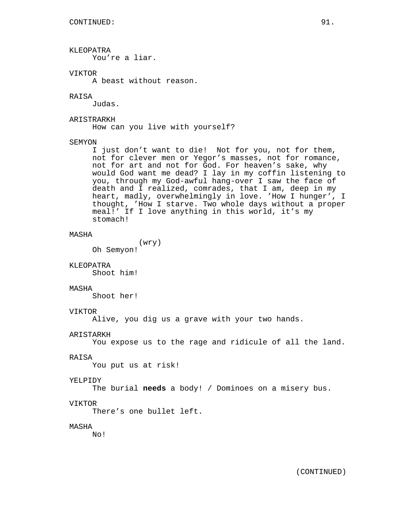## KLEOPATRA

You're a liar.

## VIKTOR

A beast without reason.

## RAISA

Judas.

## ARISTRARKH

How can you live with yourself?

## SEMYON

I just don't want to die! Not for you, not for them, not for clever men or Yegor's masses, not for romance, not for art and not for God. For heaven's sake, why would God want me dead? I lay in my coffin listening to you, through my God-awful hang-over I saw the face of death and I realized, comrades, that I am, deep in my heart, madly, overwhelmingly in love. 'How I hunger', I thought, 'How I starve. Two whole days without a proper meal!' If I love anything in this world, it's my stomach!

## MASHA

(wry)

Oh Semyon!

## KLEOPATRA

Shoot him!

#### MASHA

Shoot her!

#### VIKTOR

Alive, you dig us a grave with your two hands.

### ARISTARKH

You expose us to the rage and ridicule of all the land.

#### RAISA

You put us at risk!

#### YELPIDY

The burial **needs** a body! / Dominoes on a misery bus.

#### VIKTOR

There's one bullet left.

## MASHA

No!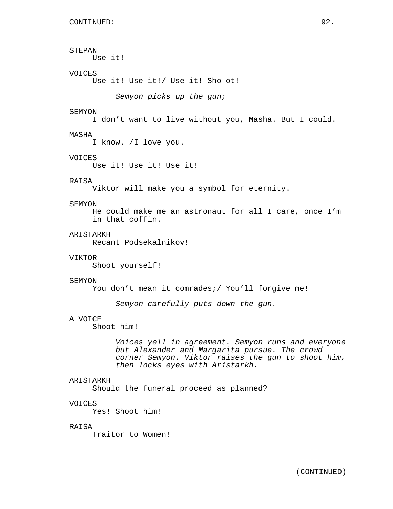```
STEPAN
     Use it!
VOICES
     Use it! Use it!/ Use it! Sho-ot!
          Semyon picks up the gun;
SEMYON
     I don't want to live without you, Masha. But I could.
MASHA
     I know. /I love you.
VOICES
     Use it! Use it! Use it!
RAISA
     Viktor will make you a symbol for eternity.
SEMYON
     He could make me an astronaut for all I care, once I'm
     in that coffin.
ARISTARKH
     Recant Podsekalnikov!
VIKTOR
     Shoot yourself!
SEMYON
     You don't mean it comrades;/ You'll forgive me!
          Semyon carefully puts down the gun.
A VOICE
     Shoot him!
          Voices yell in agreement. Semyon runs and everyone
          but Alexander and Margarita pursue. The crowd
          corner Semyon. Viktor raises the gun to shoot him,
          then locks eyes with Aristarkh.
ARISTARKH
     Should the funeral proceed as planned?
VOICES
     Yes! Shoot him!
RAISA
     Traitor to Women!
```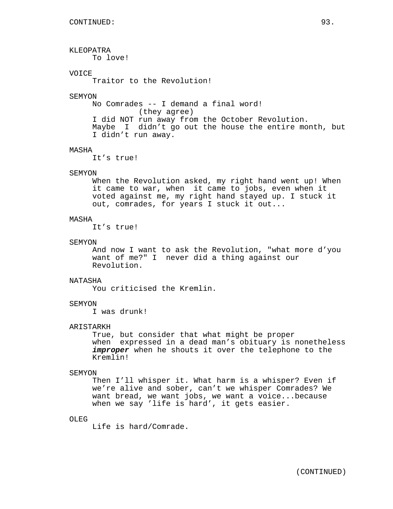KLEOPATRA To love! **VOICE** Traitor to the Revolution! SEMYON No Comrades -- I demand a final word! (they agree) I did NOT run away from the October Revolution. Maybe I didn't go out the house the entire month, but I didn't run away. MASHA It's true! SEMYON When the Revolution asked, my right hand went up! When it came to war, when it came to jobs, even when it voted against me, my right hand stayed up. I stuck it out, comrades, for years I stuck it out...

## MASHA

It's true!

#### SEMYON

And now I want to ask the Revolution, "what more d'you want of me?" I never did a thing against our Revolution.

### NATASHA

You criticised the Kremlin.

## SEMYON

I was drunk!

#### ARISTARKH

True, but consider that what might be proper when expressed in a dead man's obituary is nonetheless improper when he shouts it over the telephone to the Kremlin!

### SEMYON

Then I'll whisper it. What harm is a whisper? Even if we're alive and sober, can't we whisper Comrades? We want bread, we want jobs, we want a voice...because when we say 'life is hard', it gets easier.

### OLEG

Life is hard/Comrade.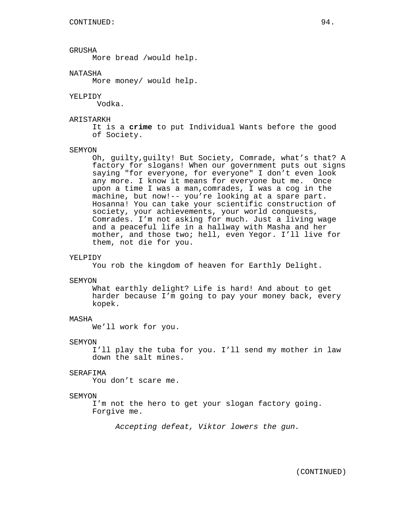## GRUSHA

More bread /would help.

## NATASHA

More money/ would help.

#### YELPIDY

Vodka.

## ARISTARKH

It is a **crime** to put Individual Wants before the good of Society.

#### SEMYON

Oh, guilty,guilty! But Society, Comrade, what's that? A factory for slogans! When our government puts out signs saying "for everyone, for everyone" I don't even look any more. I know it means for everyone but me. Once upon a time I was a man,comrades, I was a cog in the machine, but now!-- you're looking at a spare part. Hosanna! You can take your scientific construction of society, your achievements, your world conquests, Comrades. I'm not asking for much. Just a living wage and a peaceful life in a hallway with Masha and her mother, and those two; hell, even Yegor. I'll live for them, not die for you.

#### YELPIDY

You rob the kingdom of heaven for Earthly Delight.

#### SEMYON

What earthly delight? Life is hard! And about to get harder because I'm going to pay your money back, every kopek.

### MASHA

We'll work for you.

### SEMYON

I'll play the tuba for you. I'll send my mother in law down the salt mines.

### SERAFIMA

You don't scare me.

## SEMYON

I'm not the hero to get your slogan factory going. Forgive me.

Accepting defeat, Viktor lowers the gun.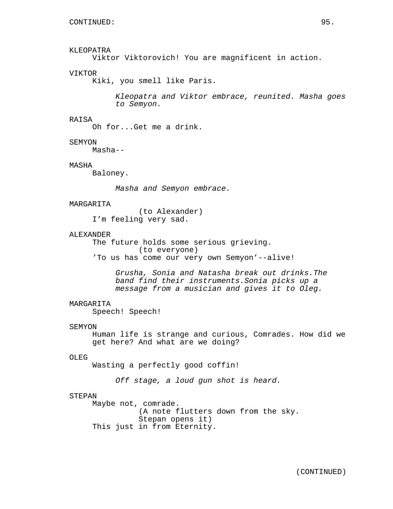## KLEOPATRA

Viktor Viktorovich! You are magnificent in action.

## VIKTOR

Kiki, you smell like Paris.

Kleopatra and Viktor embrace, reunited. Masha goes to Semyon.

## RAISA

Oh for...Get me a drink.

#### SEMYON

Masha--

## MASHA

Baloney.

Masha and Semyon embrace.

#### **MARGARITA**

(to Alexander) I'm feeling very sad.

## ALEXANDER

The future holds some serious grieving. (to everyone) 'To us has come our very own Semyon'--alive!

> Grusha, Sonia and Natasha break out drinks.The band find their instruments.Sonia picks up a message from a musician and gives it to Oleg.

## MARGARITA

Speech! Speech!

#### SEMYON

Human life is strange and curious, Comrades. How did we get here? And what are we doing?

## OLEG

Wasting a perfectly good coffin!

Off stage, a loud gun shot is heard.

## STEPAN

Maybe not, comrade. (A note flutters down from the sky. Stepan opens it) This just in from Eternity.